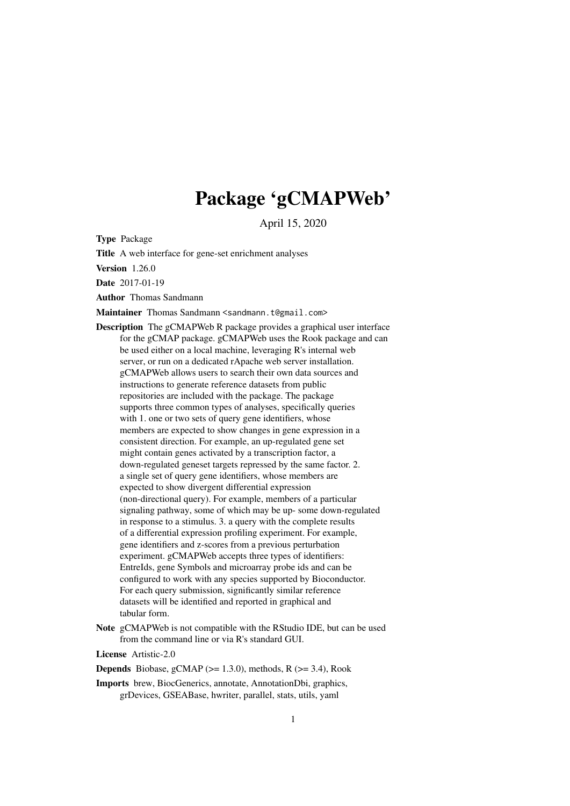# Package 'gCMAPWeb'

April 15, 2020

<span id="page-0-0"></span>Type Package

Title A web interface for gene-set enrichment analyses

Version 1.26.0

Date 2017-01-19

Author Thomas Sandmann

Maintainer Thomas Sandmann <sandmann.t@gmail.com>

Description The gCMAPWeb R package provides a graphical user interface for the gCMAP package. gCMAPWeb uses the Rook package and can be used either on a local machine, leveraging R's internal web server, or run on a dedicated rApache web server installation. gCMAPWeb allows users to search their own data sources and instructions to generate reference datasets from public repositories are included with the package. The package supports three common types of analyses, specifically queries with 1. one or two sets of query gene identifiers, whose members are expected to show changes in gene expression in a consistent direction. For example, an up-regulated gene set might contain genes activated by a transcription factor, a down-regulated geneset targets repressed by the same factor. 2. a single set of query gene identifiers, whose members are expected to show divergent differential expression (non-directional query). For example, members of a particular signaling pathway, some of which may be up- some down-regulated in response to a stimulus. 3. a query with the complete results of a differential expression profiling experiment. For example, gene identifiers and z-scores from a previous perturbation experiment. gCMAPWeb accepts three types of identifiers: EntreIds, gene Symbols and microarray probe ids and can be configured to work with any species supported by Bioconductor. For each query submission, significantly similar reference datasets will be identified and reported in graphical and tabular form.

Note gCMAPWeb is not compatible with the RStudio IDE, but can be used from the command line or via R's standard GUI.

License Artistic-2.0

**Depends** Biobase, gCMAP ( $>= 1.3.0$ ), methods, R ( $>= 3.4$ ), Rook

Imports brew, BiocGenerics, annotate, AnnotationDbi, graphics, grDevices, GSEABase, hwriter, parallel, stats, utils, yaml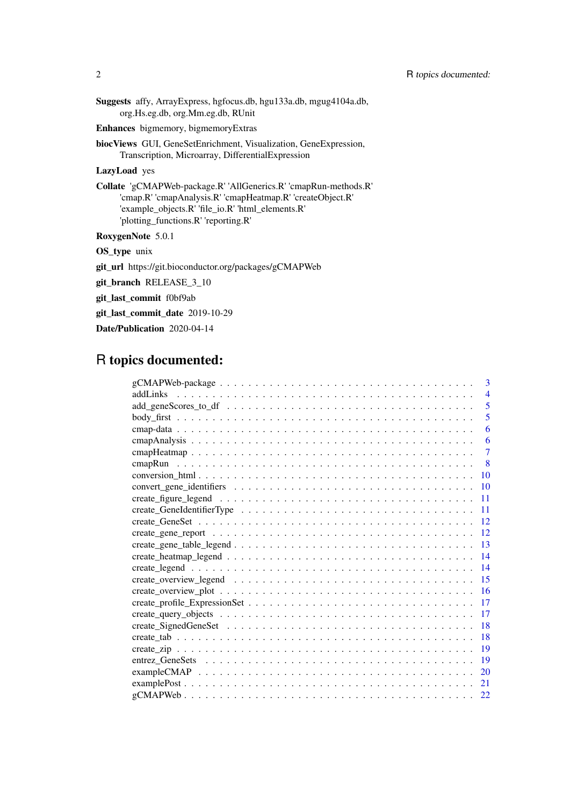Suggests affy, ArrayExpress, hgfocus.db, hgu133a.db, mgug4104a.db, org.Hs.eg.db, org.Mm.eg.db, RUnit

Enhances bigmemory, bigmemoryExtras

biocViews GUI, GeneSetEnrichment, Visualization, GeneExpression, Transcription, Microarray, DifferentialExpression

LazyLoad yes

Collate 'gCMAPWeb-package.R' 'AllGenerics.R' 'cmapRun-methods.R' 'cmap.R' 'cmapAnalysis.R' 'cmapHeatmap.R' 'createObject.R' 'example\_objects.R' 'file\_io.R' 'html\_elements.R' 'plotting\_functions.R' 'reporting.R'

RoxygenNote 5.0.1

OS\_type unix

git\_url https://git.bioconductor.org/packages/gCMAPWeb

git\_branch RELEASE\_3\_10

git\_last\_commit f0bf9ab

git\_last\_commit\_date 2019-10-29

Date/Publication 2020-04-14

# R topics documented:

| 3                                                                                                                         |
|---------------------------------------------------------------------------------------------------------------------------|
| $\overline{4}$                                                                                                            |
| 5                                                                                                                         |
| 5                                                                                                                         |
| 6                                                                                                                         |
| 6                                                                                                                         |
| $\overline{7}$                                                                                                            |
| -8                                                                                                                        |
| <b>10</b>                                                                                                                 |
| 10                                                                                                                        |
| 11                                                                                                                        |
| 11                                                                                                                        |
| 12                                                                                                                        |
| 12                                                                                                                        |
| 13                                                                                                                        |
| 14                                                                                                                        |
| 14                                                                                                                        |
| 15                                                                                                                        |
| 16                                                                                                                        |
| 17                                                                                                                        |
| 17                                                                                                                        |
| 18                                                                                                                        |
| 18                                                                                                                        |
| 19                                                                                                                        |
| 19                                                                                                                        |
| 20                                                                                                                        |
| 21<br>$examplePost \dots \dots \dots \dots \dots \dots \dots \dots \dots \dots \dots \dots \dots \dots \dots \dots \dots$ |
| 22                                                                                                                        |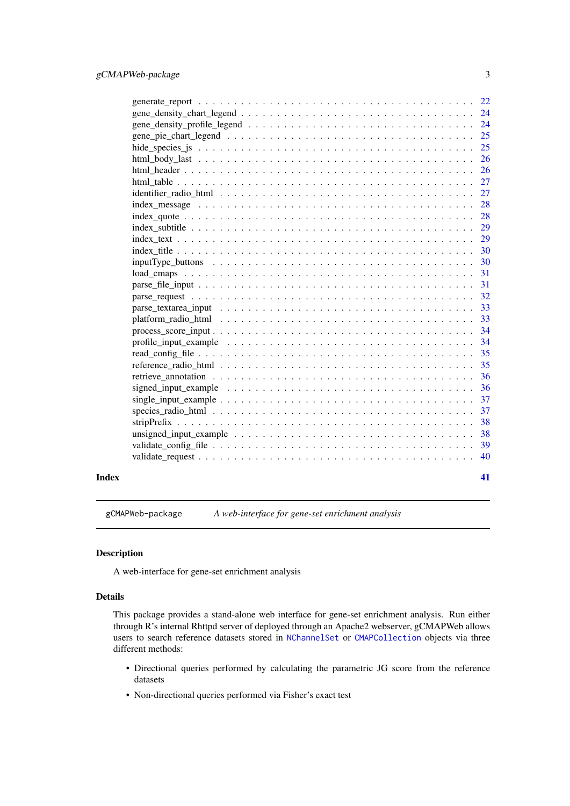<span id="page-2-0"></span>

| 25                                                                                                                                                                                                                                                                                                     |
|--------------------------------------------------------------------------------------------------------------------------------------------------------------------------------------------------------------------------------------------------------------------------------------------------------|
| 25                                                                                                                                                                                                                                                                                                     |
| 26                                                                                                                                                                                                                                                                                                     |
| 26                                                                                                                                                                                                                                                                                                     |
| 27                                                                                                                                                                                                                                                                                                     |
| 27                                                                                                                                                                                                                                                                                                     |
| 28                                                                                                                                                                                                                                                                                                     |
| 28                                                                                                                                                                                                                                                                                                     |
|                                                                                                                                                                                                                                                                                                        |
|                                                                                                                                                                                                                                                                                                        |
| 30                                                                                                                                                                                                                                                                                                     |
| 30                                                                                                                                                                                                                                                                                                     |
| 31                                                                                                                                                                                                                                                                                                     |
| 31                                                                                                                                                                                                                                                                                                     |
|                                                                                                                                                                                                                                                                                                        |
|                                                                                                                                                                                                                                                                                                        |
| 33<br>$\mathbf{p}$ and $\mathbf{p}$ and $\mathbf{p}$ and $\mathbf{p}$ and $\mathbf{p}$ and $\mathbf{p}$ and $\mathbf{p}$ and $\mathbf{p}$ and $\mathbf{p}$ and $\mathbf{p}$ and $\mathbf{p}$ and $\mathbf{p}$ and $\mathbf{p}$ and $\mathbf{p}$ and $\mathbf{p}$ and $\mathbf{p}$ and $\mathbf{p}$ and |
| 34                                                                                                                                                                                                                                                                                                     |
| -34                                                                                                                                                                                                                                                                                                    |
| 35                                                                                                                                                                                                                                                                                                     |
| 35                                                                                                                                                                                                                                                                                                     |
| 36                                                                                                                                                                                                                                                                                                     |
|                                                                                                                                                                                                                                                                                                        |
|                                                                                                                                                                                                                                                                                                        |
| 37                                                                                                                                                                                                                                                                                                     |
| 38                                                                                                                                                                                                                                                                                                     |
| 38<br>unsigned_input_example $\dots \dots \dots \dots \dots \dots \dots \dots \dots \dots \dots \dots \dots \dots$                                                                                                                                                                                     |
| 39                                                                                                                                                                                                                                                                                                     |
| 40                                                                                                                                                                                                                                                                                                     |
|                                                                                                                                                                                                                                                                                                        |

#### **Index** [41](#page-40-0)

gCMAPWeb-package *A web-interface for gene-set enrichment analysis*

# Description

A web-interface for gene-set enrichment analysis

#### Details

This package provides a stand-alone web interface for gene-set enrichment analysis. Run either through R's internal Rhttpd server of deployed through an Apache2 webserver, gCMAPWeb allows users to search reference datasets stored in [NChannelSet](#page-0-0) or [CMAPCollection](#page-0-0) objects via three different methods:

- Directional queries performed by calculating the parametric JG score from the reference datasets
- Non-directional queries performed via Fisher's exact test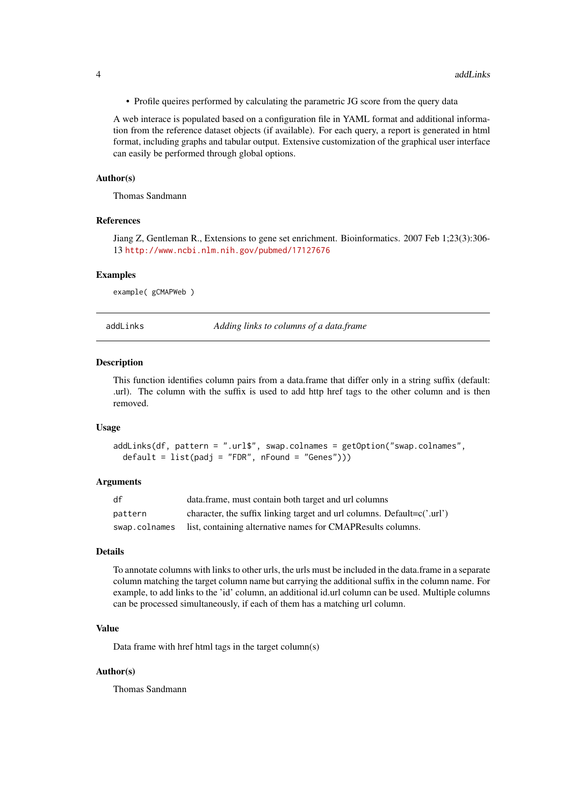<span id="page-3-0"></span>• Profile queires performed by calculating the parametric JG score from the query data

A web interace is populated based on a configuration file in YAML format and additional information from the reference dataset objects (if available). For each query, a report is generated in html format, including graphs and tabular output. Extensive customization of the graphical user interface can easily be performed through global options.

#### Author(s)

Thomas Sandmann

# References

Jiang Z, Gentleman R., Extensions to gene set enrichment. Bioinformatics. 2007 Feb 1;23(3):306- 13 <http://www.ncbi.nlm.nih.gov/pubmed/17127676>

#### Examples

example( gCMAPWeb )

addLinks *Adding links to columns of a data.frame*

#### Description

This function identifies column pairs from a data.frame that differ only in a string suffix (default: .url). The column with the suffix is used to add http href tags to the other column and is then removed.

#### Usage

```
addLinks(df, pattern = ".url$", swap.colnames = getOption("swap.colnames",
 default = list(padj = "FDR", nFound = "Genes"))
```
#### Arguments

| df            | data.frame, must contain both target and url columns                       |
|---------------|----------------------------------------------------------------------------|
| pattern       | character, the suffix linking target and url columns. Default= $c('.url')$ |
| swap.colnames | list, containing alternative names for CMAPResults columns.                |

# Details

To annotate columns with links to other urls, the urls must be included in the data.frame in a separate column matching the target column name but carrying the additional suffix in the column name. For example, to add links to the 'id' column, an additional id.url column can be used. Multiple columns can be processed simultaneously, if each of them has a matching url column.

#### Value

Data frame with href html tags in the target column(s)

#### Author(s)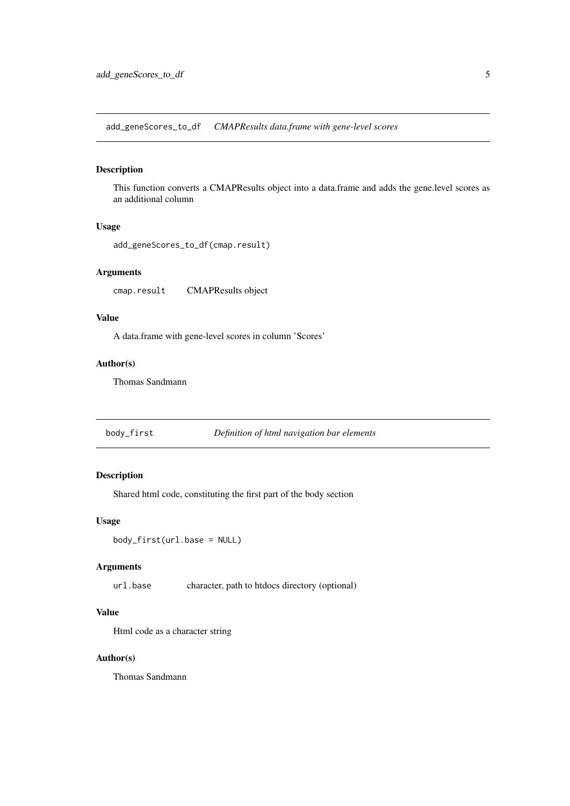<span id="page-4-0"></span>add\_geneScores\_to\_df *CMAPResults data.frame with gene-level scores*

#### Description

This function converts a CMAPResults object into a data.frame and adds the gene.level scores as an additional column

# Usage

```
add_geneScores_to_df(cmap.result)
```
### Arguments

cmap.result CMAPResults object

# Value

A data.frame with gene-level scores in column 'Scores'

# Author(s)

Thomas Sandmann

body\_first *Definition of html navigation bar elements*

# Description

Shared html code, constituting the first part of the body section

# Usage

body\_first(url.base = NULL)

# Arguments

url.base character, path to htdocs directory (optional)

# Value

Html code as a character string

#### Author(s)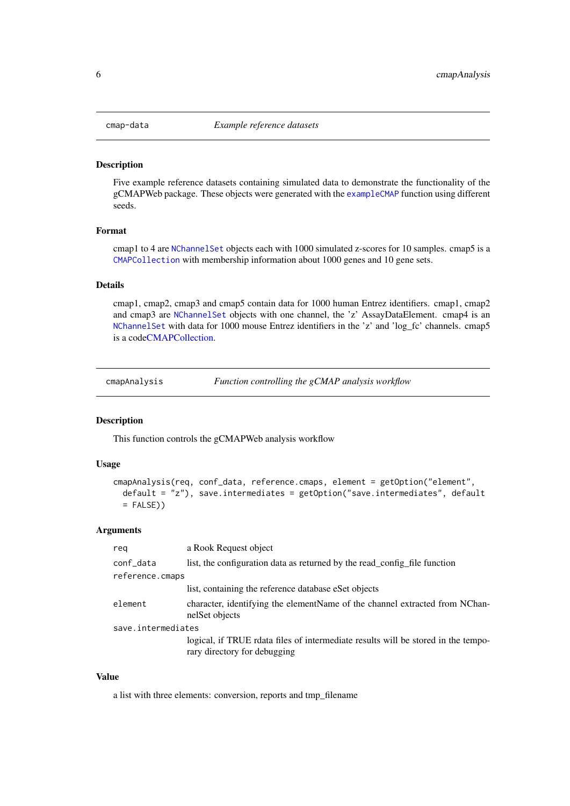<span id="page-5-0"></span>

Five example reference datasets containing simulated data to demonstrate the functionality of the gCMAPWeb package. These objects were generated with the [exampleCMAP](#page-19-1) function using different seeds.

#### Format

cmap1 to 4 are [NChannelSet](#page-0-0) objects each with 1000 simulated z-scores for 10 samples. cmap5 is a [CMAPCollection](#page-0-0) with membership information about 1000 genes and 10 gene sets.

# Details

cmap1, cmap2, cmap3 and cmap5 contain data for 1000 human Entrez identifiers. cmap1, cmap2 and cmap3 are [NChannelSet](#page-0-0) objects with one channel, the 'z' AssayDataElement. cmap4 is an [NChannelSet](#page-0-0) with data for 1000 mouse Entrez identifiers in the 'z' and 'log\_fc' channels. cmap5 is a cod[eCMAPCollection.](#page-0-0)

cmapAnalysis *Function controlling the gCMAP analysis workflow*

#### Description

This function controls the gCMAPWeb analysis workflow

#### Usage

```
cmapAnalysis(req, conf_data, reference.cmaps, element = getOption("element",
 default = "z"), save.intermediates = getOption("save.intermediates", default
 = FALSE))
```
# Arguments

| reg                | a Rook Request object                                                                                             |
|--------------------|-------------------------------------------------------------------------------------------------------------------|
| conf_data          | list, the configuration data as returned by the read_config_file function                                         |
| reference.cmaps    |                                                                                                                   |
|                    | list, containing the reference database eSet objects                                                              |
| element            | character, identifying the element Name of the channel extracted from NChan-<br>nelSet objects                    |
| save.intermediates |                                                                                                                   |
|                    | logical, if TRUE rdata files of intermediate results will be stored in the tempo-<br>rary directory for debugging |

# Value

a list with three elements: conversion, reports and tmp\_filename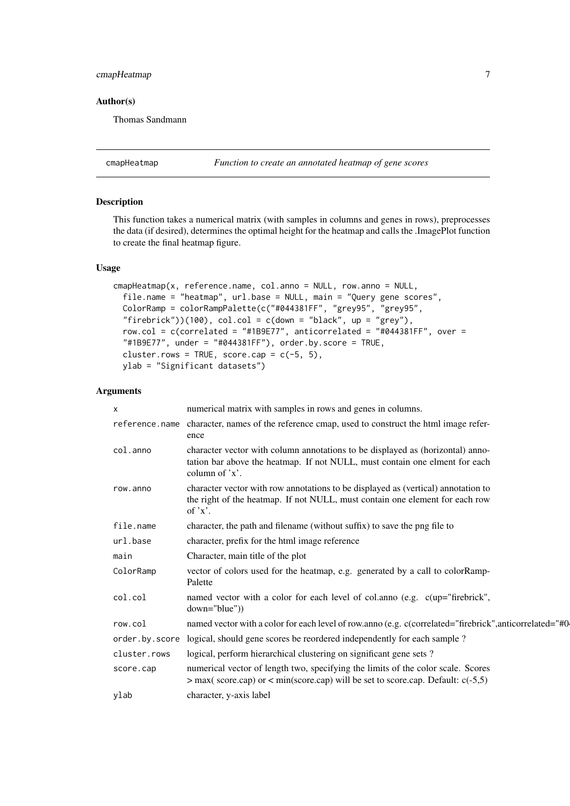# <span id="page-6-0"></span>cmapHeatmap 7

#### Author(s)

Thomas Sandmann

cmapHeatmap *Function to create an annotated heatmap of gene scores*

#### Description

This function takes a numerical matrix (with samples in columns and genes in rows), preprocesses the data (if desired), determines the optimal height for the heatmap and calls the .ImagePlot function to create the final heatmap figure.

# Usage

```
cmapHeatmap(x, reference.name, col.anno = NULL, row.anno = NULL,
 file.name = "heatmap", url.base = NULL, main = "Query gene scores",
 ColorRamp = colorRampPalette(c("#044381FF", "grey95", "grey95",
  "firebrick"))(100), col.col = c(down = "black", up = "grey"),
 row.col = c(correlated = "#1B9E77", anticorrelated = "#044381FF", over =
  "#1B9E77", under = "#044381FF"), order.by.score = TRUE,
 cluster.rows = TRUE, score.cap = c(-5, 5),
 ylab = "Significant datasets")
```
#### Arguments

| X              | numerical matrix with samples in rows and genes in columns.                                                                                                                      |
|----------------|----------------------------------------------------------------------------------------------------------------------------------------------------------------------------------|
| reference.name | character, names of the reference cmap, used to construct the html image refer-<br>ence                                                                                          |
| col.anno       | character vector with column annotations to be displayed as (horizontal) anno-<br>tation bar above the heatmap. If not NULL, must contain one elment for each<br>column of $x$ . |
| row.anno       | character vector with row annotations to be displayed as (vertical) annotation to<br>the right of the heatmap. If not NULL, must contain one element for each row<br>of $x$ .    |
| file.name      | character, the path and filename (without suffix) to save the png file to                                                                                                        |
| url.base       | character, prefix for the html image reference                                                                                                                                   |
| main           | Character, main title of the plot                                                                                                                                                |
| ColorRamp      | vector of colors used for the heatmap, e.g. generated by a call to colorRamp-<br>Palette                                                                                         |
| col.col        | named vector with a color for each level of col.anno (e.g. c(up="firebrick",<br>$down="blue")$                                                                                   |
| row.col        | named vector with a color for each level of row.anno (e.g. c(correlated="firebrick", anticorrelated="#0-                                                                         |
|                | order by score logical, should gene scores be reordered independently for each sample ?                                                                                          |
| cluster.rows   | logical, perform hierarchical clustering on significant gene sets?                                                                                                               |
| score.cap      | numerical vector of length two, specifying the limits of the color scale. Scores<br>$>$ max(score.cap) or $<$ min(score.cap) will be set to score.cap. Default: c(-5,5)          |
| ylab           | character, y-axis label                                                                                                                                                          |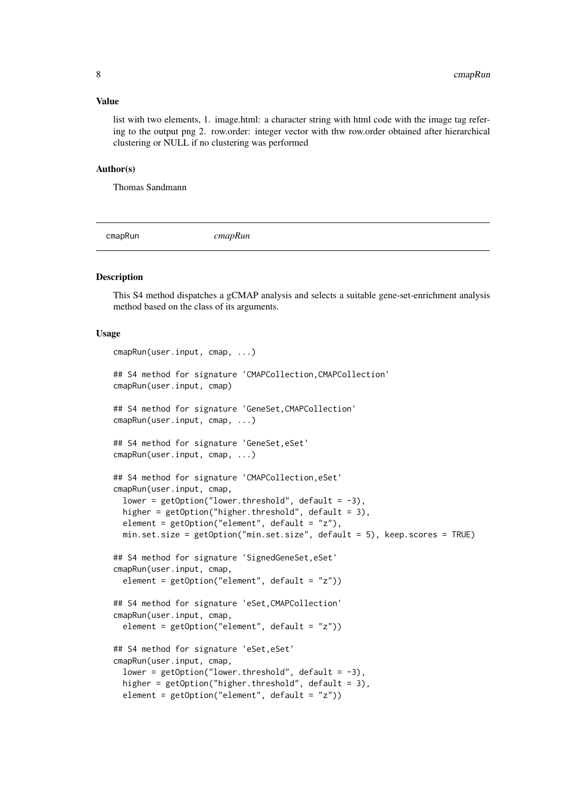#### <span id="page-7-0"></span>Value

list with two elements, 1. image.html: a character string with html code with the image tag refering to the output png 2. row.order: integer vector with thw row.order obtained after hierarchical clustering or NULL if no clustering was performed

#### Author(s)

Thomas Sandmann

cmapRun *cmapRun*

#### Description

This S4 method dispatches a gCMAP analysis and selects a suitable gene-set-enrichment analysis method based on the class of its arguments.

# Usage

```
cmapRun(user.input, cmap, ...)
## S4 method for signature 'CMAPCollection,CMAPCollection'
cmapRun(user.input, cmap)
## S4 method for signature 'GeneSet,CMAPCollection'
cmapRun(user.input, cmap, ...)
## S4 method for signature 'GeneSet, eSet'
cmapRun(user.input, cmap, ...)
## S4 method for signature 'CMAPCollection,eSet'
cmapRun(user.input, cmap,
  lower = getOption("lower.threshold", default = -3),
  higher = getOption("higher.threshold", default = 3),
  element = getOption("element", default = "z"),min.set.size = getOption("min.set.size", default = 5), keep.scores = TRUE)
## S4 method for signature 'SignedGeneSet, eSet'
cmapRun(user.input, cmap,
  element = getOption("element", default = "z"))
## S4 method for signature 'eSet,CMAPCollection'
cmapRun(user.input, cmap,
  element = getOption("element", default = "z"))
## S4 method for signature 'eSet,eSet'
cmapRun(user.input, cmap,
  lower = getOption("lower.threshold", default = -3),
 higher = getOption("higher.threshold", default = 3),
  element = getOption("element", default = "z"))
```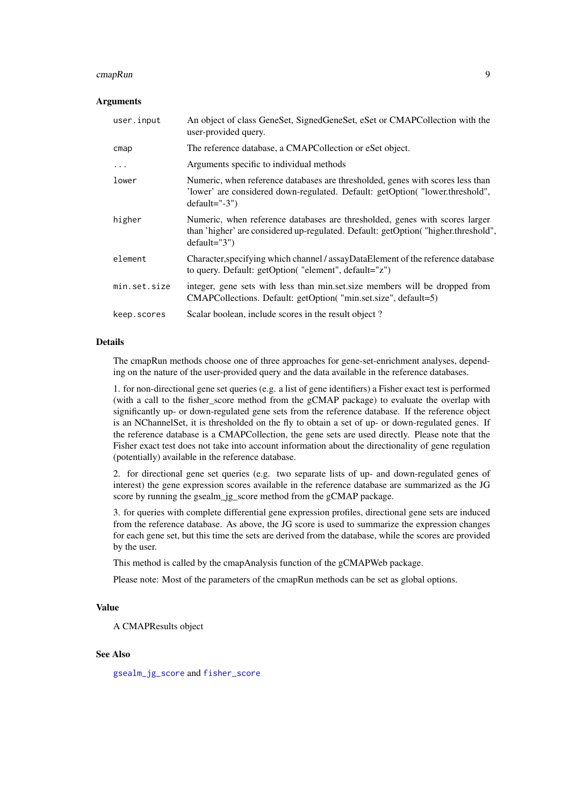#### <span id="page-8-0"></span>cmapRun 99

#### Arguments

| user.input   | An object of class GeneSet, SignedGeneSet, eSet or CMAPCollection with the<br>user-provided query.                                                                                 |
|--------------|------------------------------------------------------------------------------------------------------------------------------------------------------------------------------------|
| cmap         | The reference database, a CMAPCollection or eSet object.                                                                                                                           |
| $\cdots$     | Arguments specific to individual methods                                                                                                                                           |
| lower        | Numeric, when reference databases are thresholded, genes with scores less than<br>'lower' are considered down-regulated. Default: getOption("lower.threshold",<br>$default="-3")$  |
| higher       | Numeric, when reference databases are thresholded, genes with scores larger<br>than 'higher' are considered up-regulated. Default: getOption("higher.threshold",<br>$default="3")$ |
| element      | Character, specifying which channel / assayDataElement of the reference database<br>to query. Default: getOption( "element", default="z")                                          |
| min.set.size | integer, gene sets with less than min.set.size members will be dropped from<br>CMAPCollections. Default: getOption( "min.set.size", default=5)                                     |
| keep.scores  | Scalar boolean, include scores in the result object?                                                                                                                               |

# Details

The cmapRun methods choose one of three approaches for gene-set-enrichment analyses, depending on the nature of the user-provided query and the data available in the reference databases.

1. for non-directional gene set queries (e.g. a list of gene identifiers) a Fisher exact test is performed (with a call to the fisher\_score method from the gCMAP package) to evaluate the overlap with significantly up- or down-regulated gene sets from the reference database. If the reference object is an NChannelSet, it is thresholded on the fly to obtain a set of up- or down-regulated genes. If the reference database is a CMAPCollection, the gene sets are used directly. Please note that the Fisher exact test does not take into account information about the directionality of gene regulation (potentially) available in the reference database.

2. for directional gene set queries (e.g. two separate lists of up- and down-regulated genes of interest) the gene expression scores available in the reference database are summarized as the JG score by running the gsealm\_jg\_score method from the gCMAP package.

3. for queries with complete differential gene expression profiles, directional gene sets are induced from the reference database. As above, the JG score is used to summarize the expression changes for each gene set, but this time the sets are derived from the database, while the scores are provided by the user.

This method is called by the cmapAnalysis function of the gCMAPWeb package.

Please note: Most of the parameters of the cmapRun methods can be set as global options.

# Value

A CMAPResults object

# See Also

[gsealm\\_jg\\_score](#page-0-0) and [fisher\\_score](#page-0-0)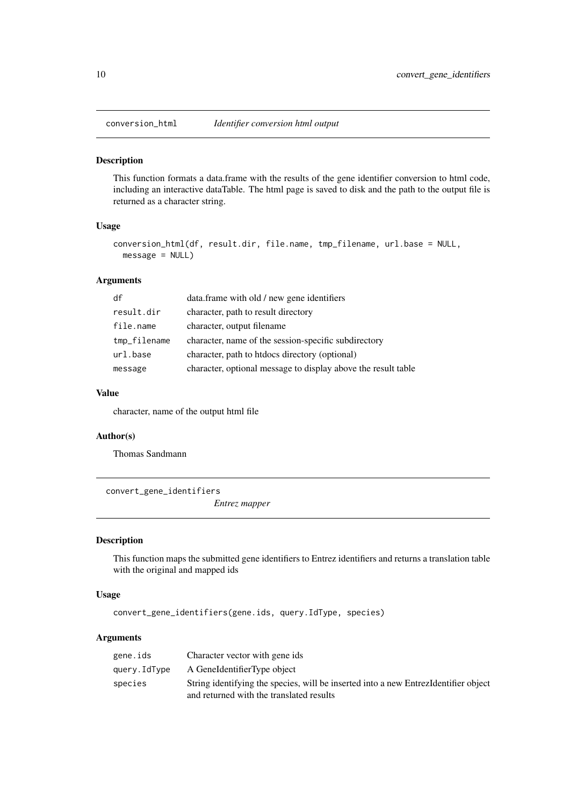<span id="page-9-0"></span>

This function formats a data.frame with the results of the gene identifier conversion to html code, including an interactive dataTable. The html page is saved to disk and the path to the output file is returned as a character string.

# Usage

```
conversion_html(df, result.dir, file.name, tmp_filename, url.base = NULL,
 message = NULL)
```
#### Arguments

| df           | data.frame with old / new gene identifiers                    |
|--------------|---------------------------------------------------------------|
| result.dir   | character, path to result directory                           |
| file.name    | character, output filename                                    |
| tmp_filename | character, name of the session-specific subdirectory          |
| url.base     | character, path to htdocs directory (optional)                |
| message      | character, optional message to display above the result table |

# Value

character, name of the output html file

# Author(s)

Thomas Sandmann

convert\_gene\_identifiers

*Entrez mapper*

#### Description

This function maps the submitted gene identifiers to Entrez identifiers and returns a translation table with the original and mapped ids

# Usage

convert\_gene\_identifiers(gene.ids, query.IdType, species)

# Arguments

| gene.ids     | Character vector with gene ids                                                       |
|--------------|--------------------------------------------------------------------------------------|
| query.IdType | A GeneIdentifierType object                                                          |
| species      | String identifying the species, will be inserted into a new Entrezoldentifier object |
|              | and returned with the translated results                                             |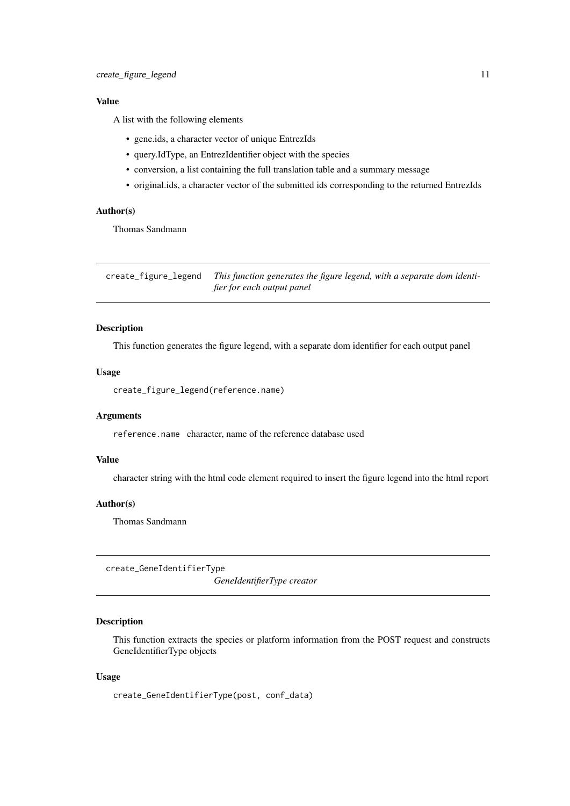#### <span id="page-10-0"></span>Value

A list with the following elements

- gene.ids, a character vector of unique EntrezIds
- query.IdType, an EntrezIdentifier object with the species
- conversion, a list containing the full translation table and a summary message
- original.ids, a character vector of the submitted ids corresponding to the returned EntrezIds

#### Author(s)

Thomas Sandmann

create\_figure\_legend *This function generates the figure legend, with a separate dom identifier for each output panel*

#### Description

This function generates the figure legend, with a separate dom identifier for each output panel

# Usage

create\_figure\_legend(reference.name)

#### Arguments

reference.name character, name of the reference database used

# Value

character string with the html code element required to insert the figure legend into the html report

# Author(s)

Thomas Sandmann

create\_GeneIdentifierType

*GeneIdentifierType creator*

#### Description

This function extracts the species or platform information from the POST request and constructs GeneIdentifierType objects

# Usage

```
create_GeneIdentifierType(post, conf_data)
```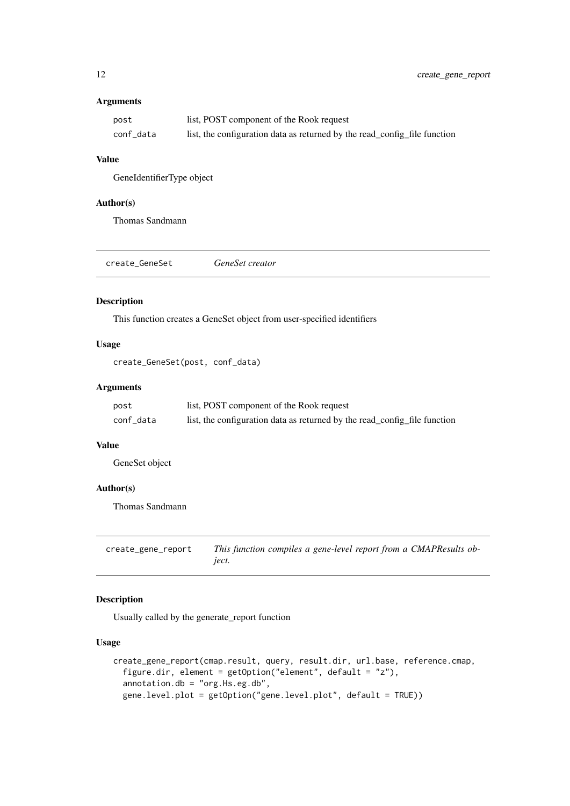# <span id="page-11-0"></span>Arguments

| post      | list, POST component of the Rook request                                  |
|-----------|---------------------------------------------------------------------------|
| conf_data | list, the configuration data as returned by the read_config_file function |

# Value

GeneIdentifierType object

# Author(s)

Thomas Sandmann

| create_GeneSet | GeneSet creator |
|----------------|-----------------|
|                |                 |

# Description

This function creates a GeneSet object from user-specified identifiers

# Usage

```
create_GeneSet(post, conf_data)
```
# Arguments

| post      | list, POST component of the Rook request                                  |
|-----------|---------------------------------------------------------------------------|
| conf_data | list, the configuration data as returned by the read_config_file function |

#### Value

GeneSet object

# Author(s)

Thomas Sandmann

create\_gene\_report *This function compiles a gene-level report from a CMAPResults object.*

# Description

Usually called by the generate\_report function

# Usage

```
create_gene_report(cmap.result, query, result.dir, url.base, reference.cmap,
  figure.dir, element = getOption("element", default = "z"),
  annotation.db = "org.Hs.eg.db",
 gene.level.plot = getOption("gene.level.plot", default = TRUE))
```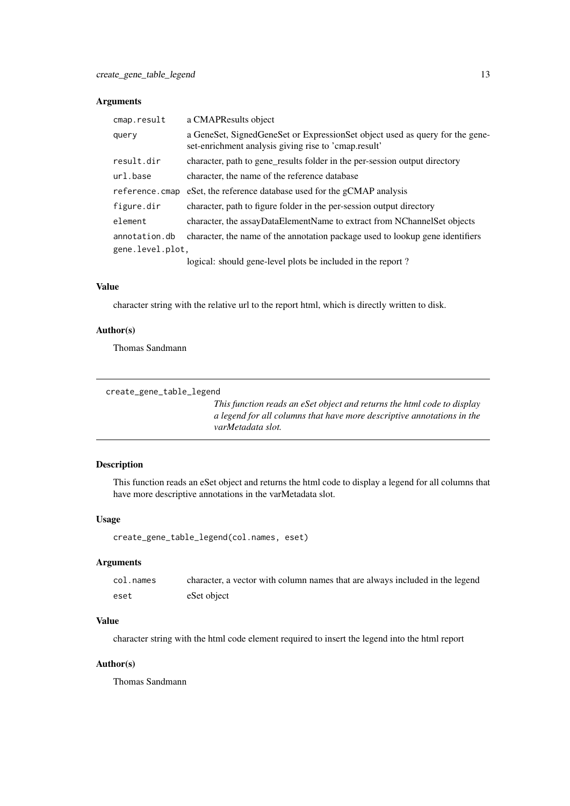# <span id="page-12-0"></span>Arguments

| cmap.result      | a CMAPResults object                                                                                                                 |  |
|------------------|--------------------------------------------------------------------------------------------------------------------------------------|--|
| query            | a GeneSet, SignedGeneSet or ExpressionSet object used as query for the gene-<br>set-enrichment analysis giving rise to 'cmap.result' |  |
| result.dir       | character, path to gene_results folder in the per-session output directory                                                           |  |
| url.base         | character, the name of the reference database                                                                                        |  |
| reference.cmap   | eSet, the reference database used for the gCMAP analysis                                                                             |  |
| figure.dir       | character, path to figure folder in the per-session output directory                                                                 |  |
| element          | character, the assayDataElementName to extract from NChannelSet objects                                                              |  |
| annotation.db    | character, the name of the annotation package used to lookup gene identifiers                                                        |  |
| gene.level.plot, |                                                                                                                                      |  |
|                  | logical: should gene-level plots be included in the report?                                                                          |  |

# Value

character string with the relative url to the report html, which is directly written to disk.

# Author(s)

Thomas Sandmann

```
create_gene_table_legend
```
*This function reads an eSet object and returns the html code to display a legend for all columns that have more descriptive annotations in the varMetadata slot.*

# Description

This function reads an eSet object and returns the html code to display a legend for all columns that have more descriptive annotations in the varMetadata slot.

# Usage

```
create_gene_table_legend(col.names, eset)
```
# Arguments

| col.names | character, a vector with column names that are always included in the legend |
|-----------|------------------------------------------------------------------------------|
| eset      | eSet object                                                                  |

#### Value

character string with the html code element required to insert the legend into the html report

# Author(s)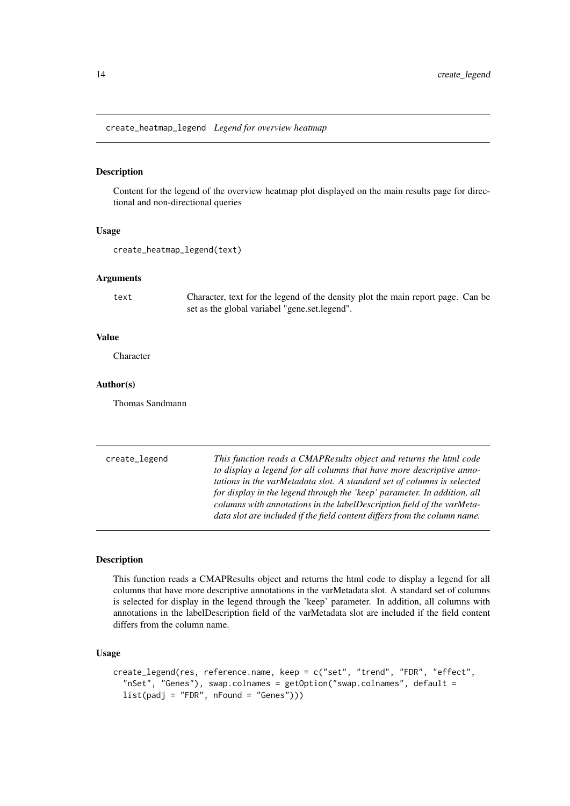<span id="page-13-0"></span>create\_heatmap\_legend *Legend for overview heatmap*

#### Description

Content for the legend of the overview heatmap plot displayed on the main results page for directional and non-directional queries

#### Usage

```
create_heatmap_legend(text)
```
#### Arguments

text Character, text for the legend of the density plot the main report page. Can be set as the global variabel "gene.set.legend".

#### Value

**Character** 

# Author(s)

Thomas Sandmann

create\_legend *This function reads a CMAPResults object and returns the html code to display a legend for all columns that have more descriptive annotations in the varMetadata slot. A standard set of columns is selected for display in the legend through the 'keep' parameter. In addition, all columns with annotations in the labelDescription field of the varMetadata slot are included if the field content differs from the column name.*

# Description

This function reads a CMAPResults object and returns the html code to display a legend for all columns that have more descriptive annotations in the varMetadata slot. A standard set of columns is selected for display in the legend through the 'keep' parameter. In addition, all columns with annotations in the labelDescription field of the varMetadata slot are included if the field content differs from the column name.

#### Usage

```
create_legend(res, reference.name, keep = c("set", "trend", "FDR", "effect",
  "nSet", "Genes"), swap.colnames = getOption("swap.colnames", default =
  list(padj = "FDR", nFound = "Genes"))
```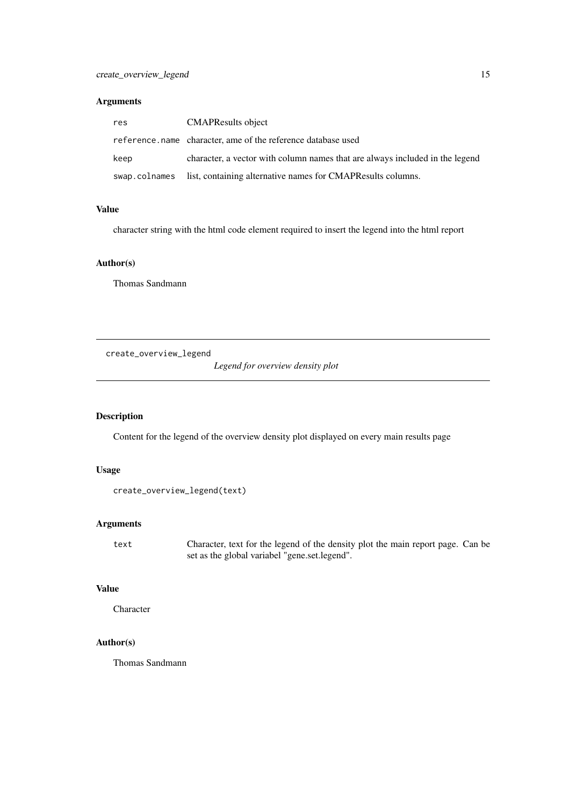#### <span id="page-14-0"></span>Arguments

| res           | <b>CMAPResults object</b>                                                    |
|---------------|------------------------------------------------------------------------------|
|               | reference, name character, ame of the reference database used                |
| keep          | character, a vector with column names that are always included in the legend |
| swap.colnames | list, containing alternative names for CMAPResults columns.                  |

#### Value

character string with the html code element required to insert the legend into the html report

# Author(s)

Thomas Sandmann

create\_overview\_legend

*Legend for overview density plot*

# Description

Content for the legend of the overview density plot displayed on every main results page

# Usage

```
create_overview_legend(text)
```
# Arguments

text Character, text for the legend of the density plot the main report page. Can be set as the global variabel "gene.set.legend".

#### Value

Character

# Author(s)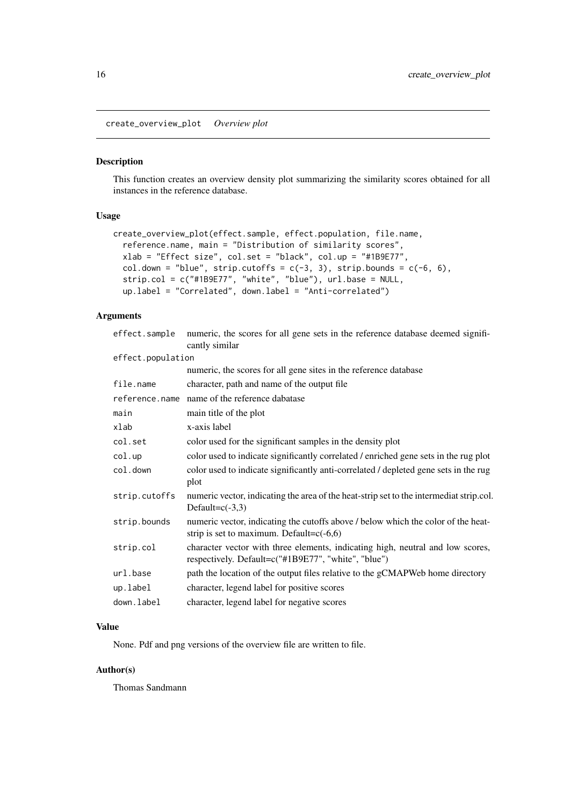<span id="page-15-0"></span>create\_overview\_plot *Overview plot*

# Description

This function creates an overview density plot summarizing the similarity scores obtained for all instances in the reference database.

# Usage

```
create_overview_plot(effect.sample, effect.population, file.name,
 reference.name, main = "Distribution of similarity scores",
 xlab = "Effect size", col.set = "black", col.up = "#1B9E77",
 col.down = "blue", strip.cutoffs = c(-3, 3), strip.bounds = c(-6, 6),
 strip.col = c("#1B9E77", "white", "blue"), url.base = NULL,
 up.label = "Correlated", down.label = "Anti-correlated")
```
# Arguments

| numeric, the scores for all gene sets in the reference database deemed signifi-<br>cantly similar                                     |  |
|---------------------------------------------------------------------------------------------------------------------------------------|--|
| effect.population                                                                                                                     |  |
| numeric, the scores for all gene sites in the reference database                                                                      |  |
| character, path and name of the output file                                                                                           |  |
| reference.name name of the reference dabatase                                                                                         |  |
| main title of the plot                                                                                                                |  |
| x-axis label                                                                                                                          |  |
| color used for the significant samples in the density plot                                                                            |  |
| color used to indicate significantly correlated / enriched gene sets in the rug plot                                                  |  |
| color used to indicate significantly anti-correlated / depleted gene sets in the rug<br>plot                                          |  |
| numeric vector, indicating the area of the heat-strip set to the intermediat strip.col.<br>Default= $c(-3,3)$                         |  |
| numeric vector, indicating the cutoffs above / below which the color of the heat-<br>strip is set to maximum. Default= $c(-6,6)$      |  |
| character vector with three elements, indicating high, neutral and low scores,<br>respectively. Default=c("#1B9E77", "white", "blue") |  |
| path the location of the output files relative to the gCMAPWeb home directory                                                         |  |
| character, legend label for positive scores                                                                                           |  |
| character, legend label for negative scores                                                                                           |  |
|                                                                                                                                       |  |

# Value

None. Pdf and png versions of the overview file are written to file.

#### Author(s)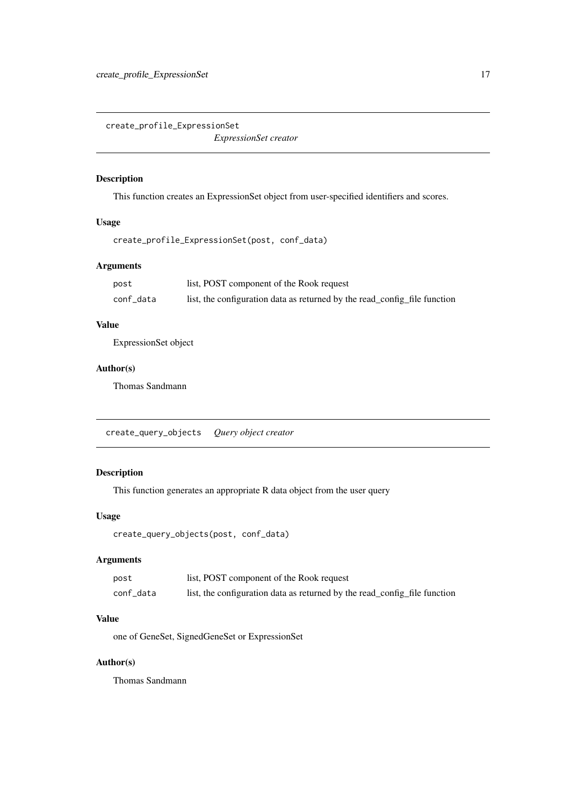<span id="page-16-0"></span>create\_profile\_ExpressionSet

*ExpressionSet creator*

# Description

This function creates an ExpressionSet object from user-specified identifiers and scores.

# Usage

create\_profile\_ExpressionSet(post, conf\_data)

# Arguments

| post      | list, POST component of the Rook request                                  |
|-----------|---------------------------------------------------------------------------|
| conf data | list, the configuration data as returned by the read_config_file function |

# Value

ExpressionSet object

# Author(s)

Thomas Sandmann

create\_query\_objects *Query object creator*

# Description

This function generates an appropriate R data object from the user query

# Usage

create\_query\_objects(post, conf\_data)

# Arguments

| post      | list, POST component of the Rook request                                  |
|-----------|---------------------------------------------------------------------------|
| conf data | list, the configuration data as returned by the read_config_file function |

# Value

one of GeneSet, SignedGeneSet or ExpressionSet

#### Author(s)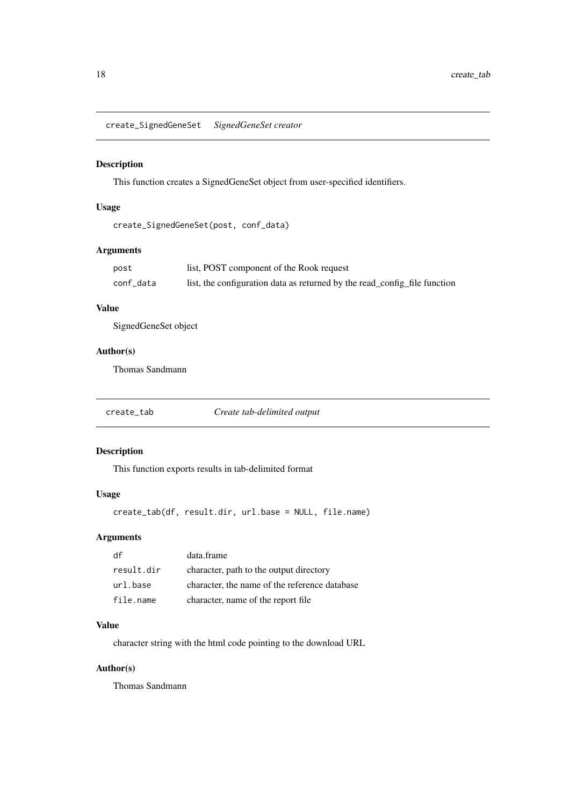<span id="page-17-0"></span>create\_SignedGeneSet *SignedGeneSet creator*

#### Description

This function creates a SignedGeneSet object from user-specified identifiers.

# Usage

```
create_SignedGeneSet(post, conf_data)
```
# Arguments

| post      | list, POST component of the Rook request                                  |
|-----------|---------------------------------------------------------------------------|
| conf_data | list, the configuration data as returned by the read_config_file function |

# Value

SignedGeneSet object

# Author(s)

Thomas Sandmann

create\_tab *Create tab-delimited output*

# Description

This function exports results in tab-delimited format

# Usage

create\_tab(df, result.dir, url.base = NULL, file.name)

#### Arguments

| df         | data.frame                                    |
|------------|-----------------------------------------------|
| result.dir | character, path to the output directory       |
| url.base   | character, the name of the reference database |
| file.name  | character, name of the report file            |

# Value

character string with the html code pointing to the download URL

# Author(s)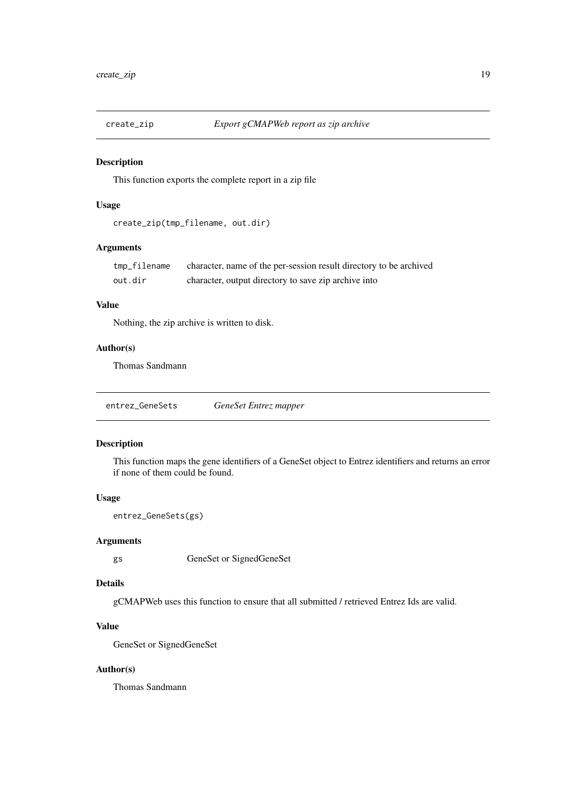<span id="page-18-0"></span>

This function exports the complete report in a zip file

# Usage

```
create_zip(tmp_filename, out.dir)
```
# Arguments

| tmp_filename | character, name of the per-session result directory to be archived |
|--------------|--------------------------------------------------------------------|
| out.dir      | character, output directory to save zip archive into               |

# Value

Nothing, the zip archive is written to disk.

# Author(s)

Thomas Sandmann

entrez\_GeneSets *GeneSet Entrez mapper*

#### Description

This function maps the gene identifiers of a GeneSet object to Entrez identifiers and returns an error if none of them could be found.

# Usage

```
entrez_GeneSets(gs)
```
#### Arguments

gs GeneSet or SignedGeneSet

# Details

gCMAPWeb uses this function to ensure that all submitted / retrieved Entrez Ids are valid.

# Value

GeneSet or SignedGeneSet

#### Author(s)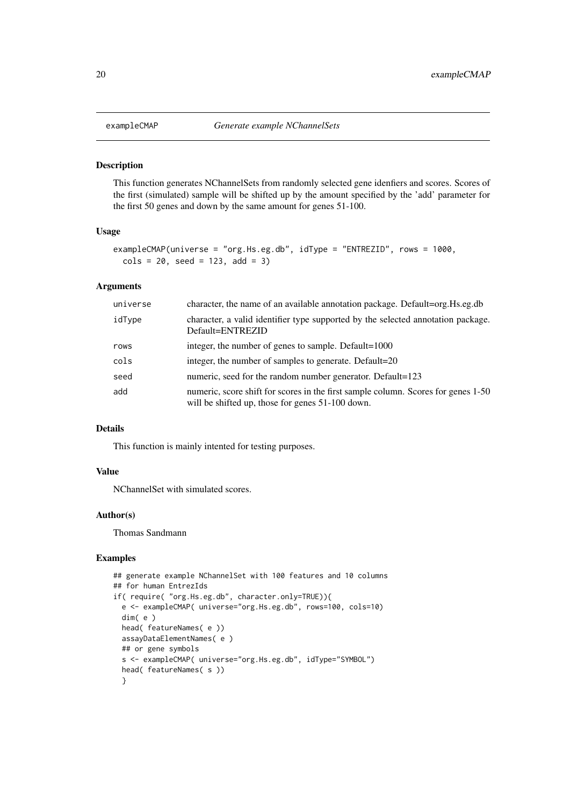<span id="page-19-1"></span><span id="page-19-0"></span>This function generates NChannelSets from randomly selected gene idenfiers and scores. Scores of the first (simulated) sample will be shifted up by the amount specified by the 'add' parameter for the first 50 genes and down by the same amount for genes 51-100.

#### Usage

```
exampleCMAP(universe = "org.Hs.eg.db", idType = "ENTREZID", rows = 1000,
 cols = 20, seed = 123, add = 3)
```
#### Arguments

| universe | character, the name of an available annotation package. Default=org. Hs.eg.db                                                         |
|----------|---------------------------------------------------------------------------------------------------------------------------------------|
| idType   | character, a valid identifier type supported by the selected annotation package.<br>Default=ENTREZID                                  |
| rows     | integer, the number of genes to sample. Default=1000                                                                                  |
| cols     | integer, the number of samples to generate. Default=20                                                                                |
| seed     | numeric, seed for the random number generator. Default=123                                                                            |
| add      | numeric, score shift for scores in the first sample column. Scores for genes 1-50<br>will be shifted up, those for genes 51-100 down. |

# Details

This function is mainly intented for testing purposes.

# Value

NChannelSet with simulated scores.

#### Author(s)

Thomas Sandmann

#### Examples

```
## generate example NChannelSet with 100 features and 10 columns
## for human EntrezIds
if( require( "org.Hs.eg.db", character.only=TRUE)){
  e <- exampleCMAP( universe="org.Hs.eg.db", rows=100, cols=10)
  dim( e )
  head( featureNames( e ))
  assayDataElementNames( e )
  ## or gene symbols
  s <- exampleCMAP( universe="org.Hs.eg.db", idType="SYMBOL")
  head( featureNames( s ))
  }
```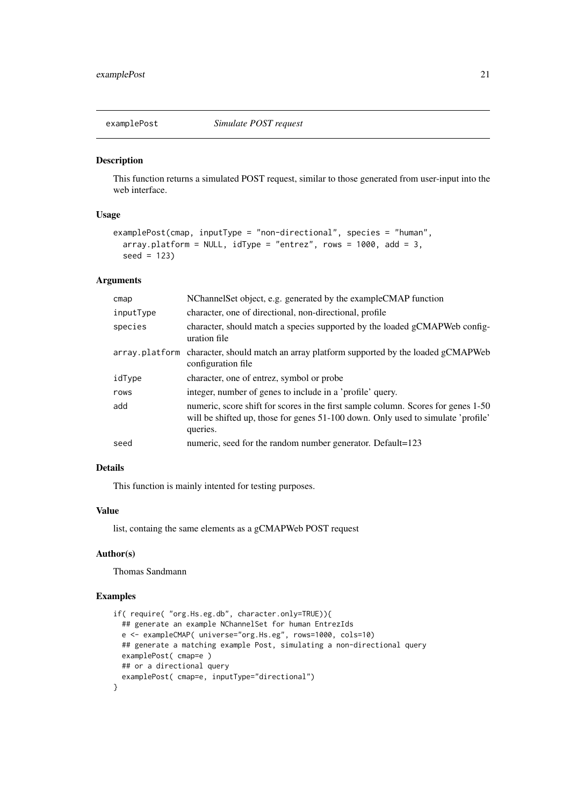<span id="page-20-0"></span>

This function returns a simulated POST request, similar to those generated from user-input into the web interface.

# Usage

```
examplePost(cmap, inputType = "non-directional", species = "human",
  array.platform = NULL, idType = "entrez", rows = 1000, add = 3,seed = 123)
```
#### Arguments

| cmap      | NChannelSet object, e.g. generated by the exampleCMAP function                                                                                                                    |
|-----------|-----------------------------------------------------------------------------------------------------------------------------------------------------------------------------------|
| inputType | character, one of directional, non-directional, profile                                                                                                                           |
| species   | character, should match a species supported by the loaded gCMAPWeb config-<br>uration file                                                                                        |
|           | array.platform character, should match an array platform supported by the loaded gCMAPWeb<br>configuration file                                                                   |
| idType    | character, one of entrez, symbol or probe                                                                                                                                         |
| rows      | integer, number of genes to include in a 'profile' query.                                                                                                                         |
| add       | numeric, score shift for scores in the first sample column. Scores for genes 1-50<br>will be shifted up, those for genes 51-100 down. Only used to simulate 'profile'<br>queries. |
| seed      | numeric, seed for the random number generator. Default=123                                                                                                                        |

#### Details

This function is mainly intented for testing purposes.

# Value

list, containg the same elements as a gCMAPWeb POST request

# Author(s)

Thomas Sandmann

#### Examples

```
if( require( "org.Hs.eg.db", character.only=TRUE)){
  ## generate an example NChannelSet for human EntrezIds
  e <- exampleCMAP( universe="org.Hs.eg", rows=1000, cols=10)
  ## generate a matching example Post, simulating a non-directional query
  examplePost( cmap=e )
  ## or a directional query
  examplePost( cmap=e, inputType="directional")
}
```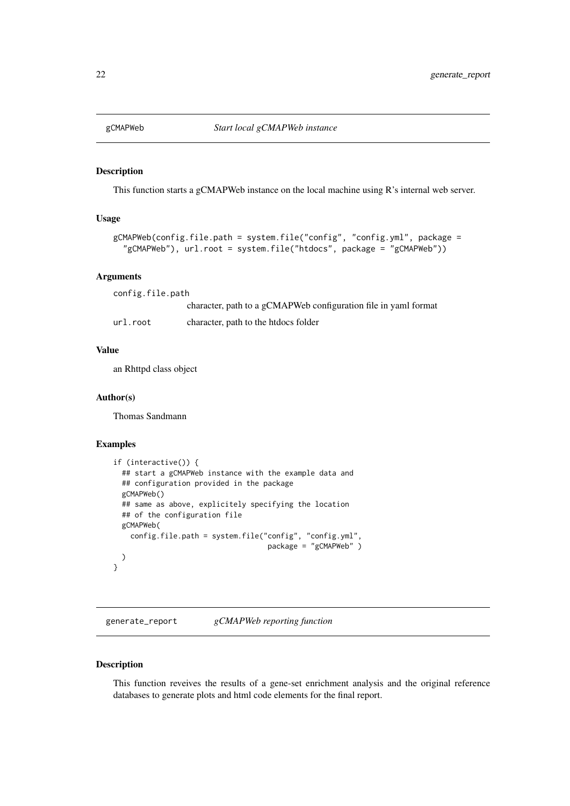<span id="page-21-0"></span>

This function starts a gCMAPWeb instance on the local machine using R's internal web server.

# Usage

```
gCMAPWeb(config.file.path = system.file("config", "config.yml", package =
  "gCMAPWeb"), url.root = system.file("htdocs", package = "gCMAPWeb"))
```
# Arguments

config.file.path character, path to a gCMAPWeb configuration file in yaml format url.root character, path to the htdocs folder

#### Value

an Rhttpd class object

#### Author(s)

Thomas Sandmann

# Examples

```
if (interactive()) {
  ## start a gCMAPWeb instance with the example data and
  ## configuration provided in the package
  gCMAPWeb()
  ## same as above, explicitely specifying the location
  ## of the configuration file
  gCMAPWeb(
   config.file.path = system.file("config", "config.yml",
                                    package = "gCMAPWeb" )
 )
}
```
generate\_report *gCMAPWeb reporting function*

# Description

This function reveives the results of a gene-set enrichment analysis and the original reference databases to generate plots and html code elements for the final report.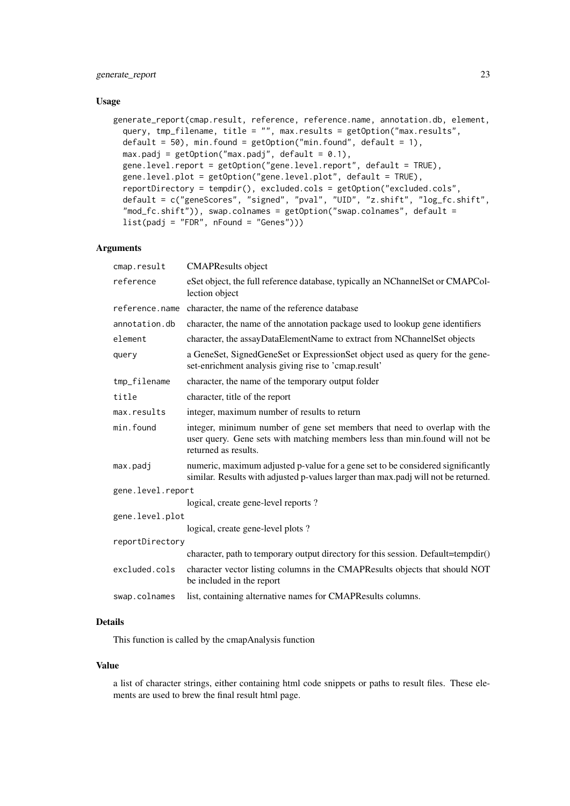#### generate\_report 23

#### Usage

```
generate_report(cmap.result, reference, reference.name, annotation.db, element,
 query, tmp_filename, title = "", max.results = getOption("max.results",
 default = 50, min.found = getOption("min.found", default = 1),
 max.padj = getOption("max.padj", default = 0.1),gene.level.report = getOption("gene.level.report", default = TRUE),
 gene.level.plot = getOption("gene.level.plot", default = TRUE),
 reportDirectory = tempdir(), excluded.cols = getOption("excluded.cols",
 default = c("geneScores", "signed", "pval", "UID", "z.shift", "log_fc.shift",
  "mod_fc.shift")), swap.colnames = getOption("swap.colnames", default =
  list(padj = "FDR", nFound = "Genes"))
```
#### Arguments

| cmap.result       | <b>CMAPResults</b> object                                                                                                                                                        |  |
|-------------------|----------------------------------------------------------------------------------------------------------------------------------------------------------------------------------|--|
| reference         | eSet object, the full reference database, typically an NChannelSet or CMAPCol-<br>lection object                                                                                 |  |
| reference.name    | character, the name of the reference database                                                                                                                                    |  |
| annotation.db     | character, the name of the annotation package used to lookup gene identifiers                                                                                                    |  |
| element           | character, the assayDataElementName to extract from NChannelSet objects                                                                                                          |  |
| query             | a GeneSet, SignedGeneSet or ExpressionSet object used as query for the gene-<br>set-enrichment analysis giving rise to 'cmap.result'                                             |  |
| tmp_filename      | character, the name of the temporary output folder                                                                                                                               |  |
| title             | character, title of the report                                                                                                                                                   |  |
| max.results       | integer, maximum number of results to return                                                                                                                                     |  |
| min.found         | integer, minimum number of gene set members that need to overlap with the<br>user query. Gene sets with matching members less than min.found will not be<br>returned as results. |  |
| max.padj          | numeric, maximum adjusted p-value for a gene set to be considered significantly<br>similar. Results with adjusted p-values larger than max.padj will not be returned.            |  |
| gene.level.report |                                                                                                                                                                                  |  |
|                   | logical, create gene-level reports?                                                                                                                                              |  |
| gene.level.plot   |                                                                                                                                                                                  |  |
|                   | logical, create gene-level plots?                                                                                                                                                |  |
| reportDirectory   |                                                                                                                                                                                  |  |
|                   | character, path to temporary output directory for this session. Default=tempdir()                                                                                                |  |
| excluded.cols     | character vector listing columns in the CMAPResults objects that should NOT<br>be included in the report                                                                         |  |
| swap.colnames     | list, containing alternative names for CMAPResults columns.                                                                                                                      |  |
|                   |                                                                                                                                                                                  |  |

# Details

This function is called by the cmapAnalysis function

#### Value

a list of character strings, either containing html code snippets or paths to result files. These elements are used to brew the final result html page.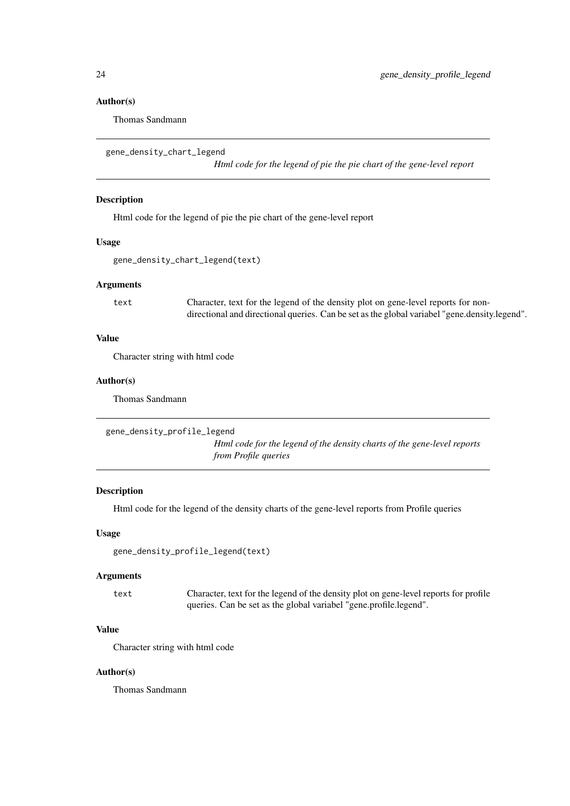#### Author(s)

Thomas Sandmann

gene\_density\_chart\_legend

*Html code for the legend of pie the pie chart of the gene-level report*

# Description

Html code for the legend of pie the pie chart of the gene-level report

# Usage

```
gene_density_chart_legend(text)
```
#### Arguments

text Character, text for the legend of the density plot on gene-level reports for nondirectional and directional queries. Can be set as the global variabel "gene.density.legend".

#### Value

Character string with html code

#### Author(s)

Thomas Sandmann

```
gene_density_profile_legend
```
*Html code for the legend of the density charts of the gene-level reports from Profile queries*

#### Description

Html code for the legend of the density charts of the gene-level reports from Profile queries

### Usage

```
gene_density_profile_legend(text)
```
#### Arguments

text Character, text for the legend of the density plot on gene-level reports for profile queries. Can be set as the global variabel "gene.profile.legend".

# Value

Character string with html code

# Author(s)

<span id="page-23-0"></span>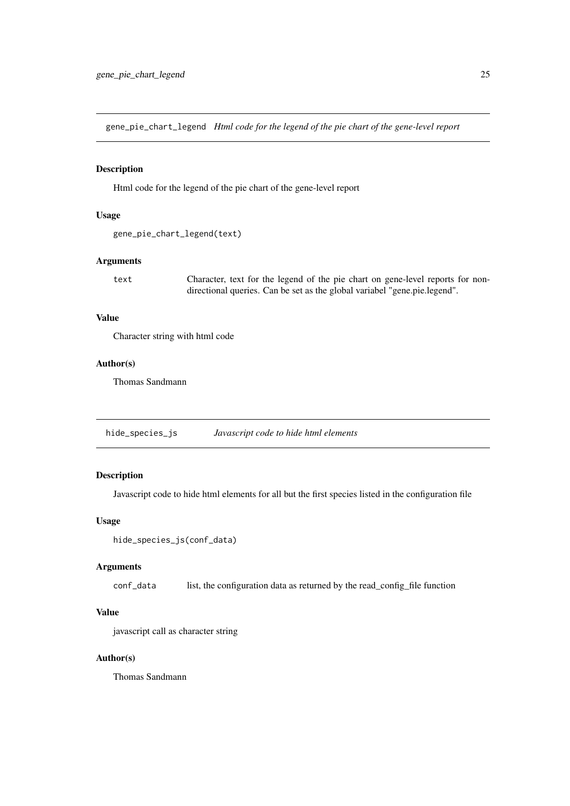<span id="page-24-0"></span>gene\_pie\_chart\_legend *Html code for the legend of the pie chart of the gene-level report*

#### Description

Html code for the legend of the pie chart of the gene-level report

# Usage

```
gene_pie_chart_legend(text)
```
# Arguments

text Character, text for the legend of the pie chart on gene-level reports for nondirectional queries. Can be set as the global variabel "gene.pie.legend".

# Value

Character string with html code

#### Author(s)

Thomas Sandmann

hide\_species\_js *Javascript code to hide html elements*

# Description

Javascript code to hide html elements for all but the first species listed in the configuration file

# Usage

```
hide_species_js(conf_data)
```
# Arguments

conf\_data list, the configuration data as returned by the read\_config\_file function

# Value

javascript call as character string

#### Author(s)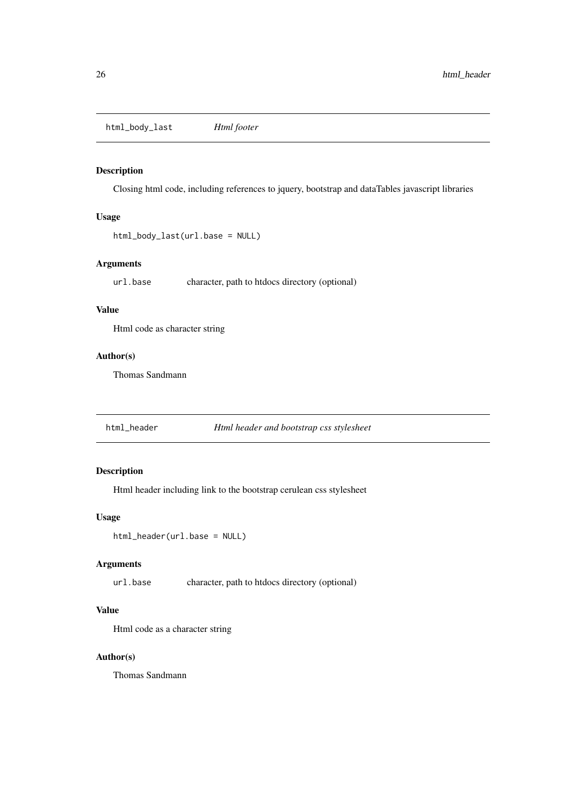<span id="page-25-0"></span>html\_body\_last *Html footer*

# Description

Closing html code, including references to jquery, bootstrap and dataTables javascript libraries

# Usage

```
html_body_last(url.base = NULL)
```
# Arguments

url.base character, path to htdocs directory (optional)

# Value

Html code as character string

# Author(s)

Thomas Sandmann

html\_header *Html header and bootstrap css stylesheet*

# Description

Html header including link to the bootstrap cerulean css stylesheet

# Usage

html\_header(url.base = NULL)

# Arguments

url.base character, path to htdocs directory (optional)

# Value

Html code as a character string

# Author(s)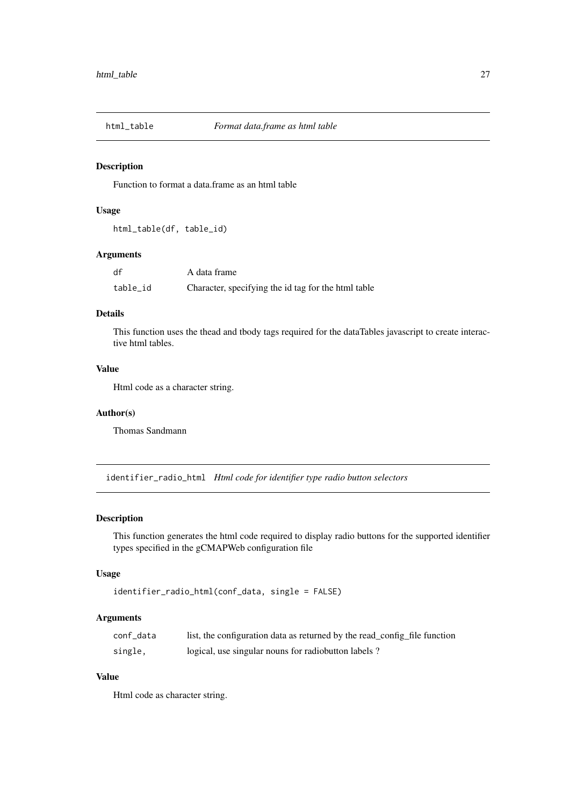<span id="page-26-0"></span>

Function to format a data.frame as an html table

# Usage

```
html_table(df, table_id)
```
#### Arguments

| df       | A data frame                                        |
|----------|-----------------------------------------------------|
| table id | Character, specifying the id tag for the html table |

# Details

This function uses the thead and tbody tags required for the dataTables javascript to create interactive html tables.

# Value

Html code as a character string.

#### Author(s)

Thomas Sandmann

identifier\_radio\_html *Html code for identifier type radio button selectors*

# Description

This function generates the html code required to display radio buttons for the supported identifier types specified in the gCMAPWeb configuration file

# Usage

```
identifier_radio_html(conf_data, single = FALSE)
```
#### Arguments

| conf data | list, the configuration data as returned by the read_config_file function |
|-----------|---------------------------------------------------------------------------|
| single.   | logical, use singular nouns for radiobutton labels?                       |

# Value

Html code as character string.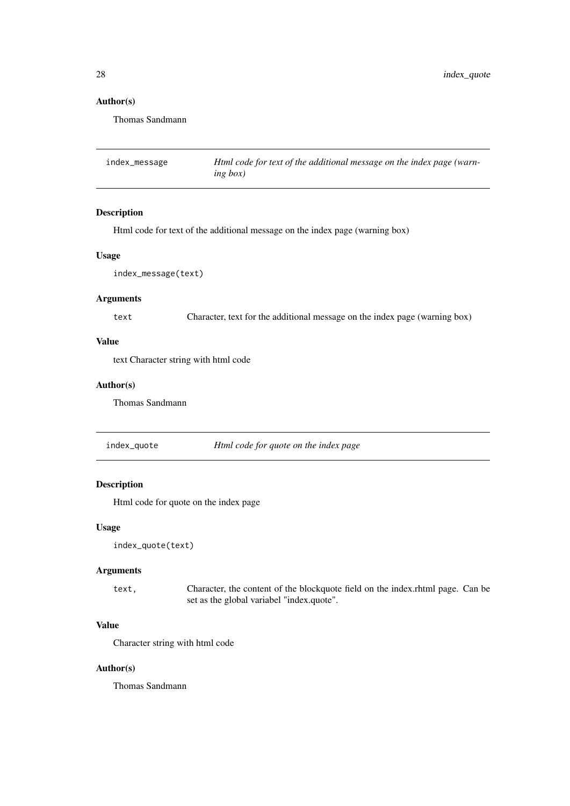# Author(s)

Thomas Sandmann

| index_message | Html code for text of the additional message on the index page (warn- |
|---------------|-----------------------------------------------------------------------|
|               | ing box)                                                              |

#### Description

Html code for text of the additional message on the index page (warning box)

#### Usage

index\_message(text)

# Arguments

text Character, text for the additional message on the index page (warning box)

# Value

text Character string with html code

# Author(s)

Thomas Sandmann

index\_quote *Html code for quote on the index page*

# Description

Html code for quote on the index page

# Usage

```
index_quote(text)
```
# Arguments

text, Character, the content of the blockquote field on the index.rhtml page. Can be set as the global variabel "index.quote".

# Value

Character string with html code

#### Author(s)

<span id="page-27-0"></span>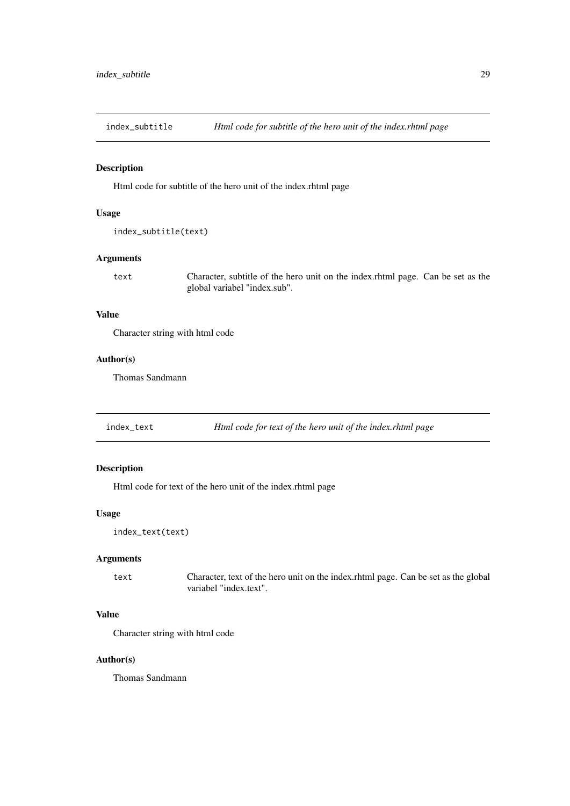<span id="page-28-0"></span>index\_subtitle *Html code for subtitle of the hero unit of the index.rhtml page*

# Description

Html code for subtitle of the hero unit of the index.rhtml page

#### Usage

```
index_subtitle(text)
```
# Arguments

text Character, subtitle of the hero unit on the index.rhtml page. Can be set as the global variabel "index.sub".

# Value

Character string with html code

#### Author(s)

Thomas Sandmann

index\_text *Html code for text of the hero unit of the index.rhtml page*

# Description

Html code for text of the hero unit of the index.rhtml page

# Usage

```
index_text(text)
```
#### Arguments

text Character, text of the hero unit on the index.rhtml page. Can be set as the global variabel "index.text".

# Value

Character string with html code

# Author(s)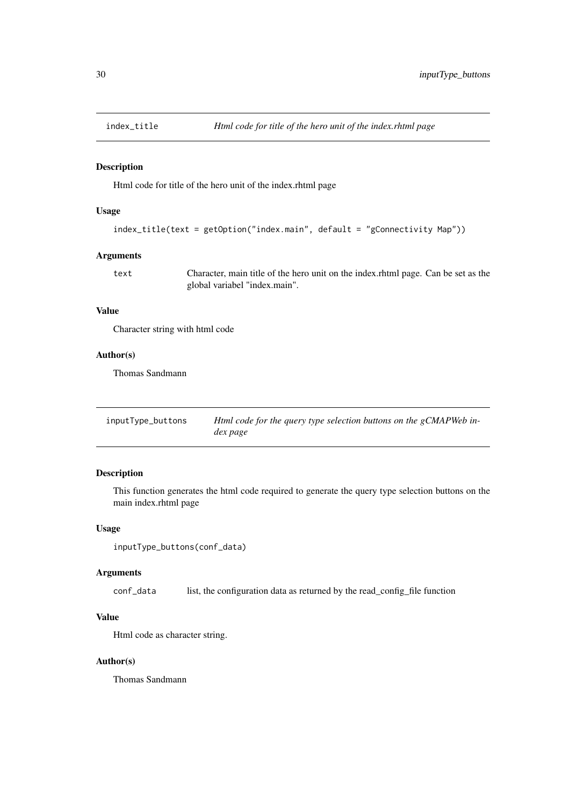<span id="page-29-0"></span>

Html code for title of the hero unit of the index.rhtml page

#### Usage

```
index_title(text = getOption("index.main", default = "gConnectivity Map"))
```
#### Arguments

text Character, main title of the hero unit on the index.rhtml page. Can be set as the global variabel "index.main".

# Value

Character string with html code

# Author(s)

Thomas Sandmann

| inputType_buttons | Html code for the query type selection buttons on the gCMAPWeb in- |
|-------------------|--------------------------------------------------------------------|
|                   | dex page                                                           |

#### Description

This function generates the html code required to generate the query type selection buttons on the main index.rhtml page

# Usage

```
inputType_buttons(conf_data)
```
#### Arguments

conf\_data list, the configuration data as returned by the read\_config\_file function

# Value

Html code as character string.

# Author(s)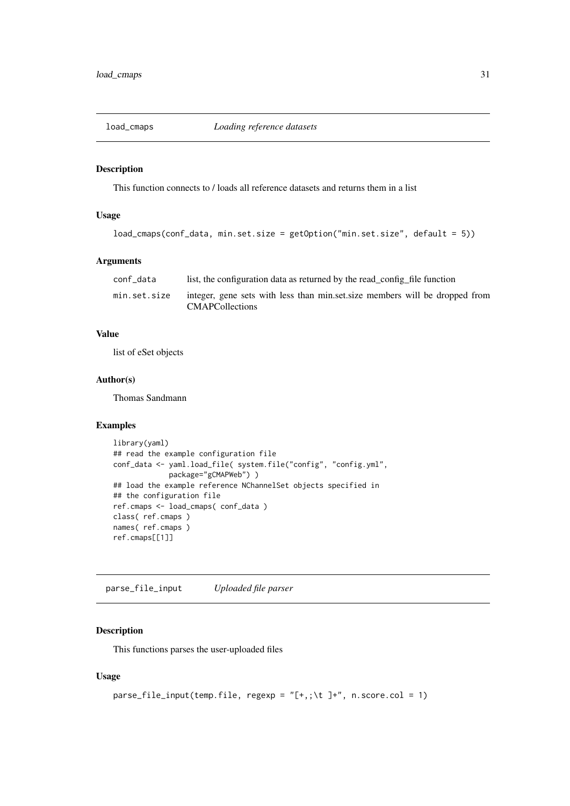<span id="page-30-0"></span>

This function connects to / loads all reference datasets and returns them in a list

# Usage

```
load_cmaps(conf_data, min.set.size = getOption("min.set.size", default = 5))
```
# Arguments

| conf data    | list, the configuration data as returned by the read_config_file function                              |
|--------------|--------------------------------------------------------------------------------------------------------|
| min.set.size | integer, gene sets with less than min.set.size members will be dropped from<br><b>CMAPC</b> ollections |

# Value

list of eSet objects

# Author(s)

Thomas Sandmann

# Examples

```
library(yaml)
## read the example configuration file
conf_data <- yaml.load_file( system.file("config", "config.yml",
             package="gCMAPWeb") )
## load the example reference NChannelSet objects specified in
## the configuration file
ref.cmaps <- load_cmaps( conf_data )
class( ref.cmaps )
names( ref.cmaps )
ref.cmaps[[1]]
```
parse\_file\_input *Uploaded file parser*

# Description

This functions parses the user-uploaded files

# Usage

```
parse_file_input(temp.file, regexp = "[+,;\t ]+", n.score.col = 1)
```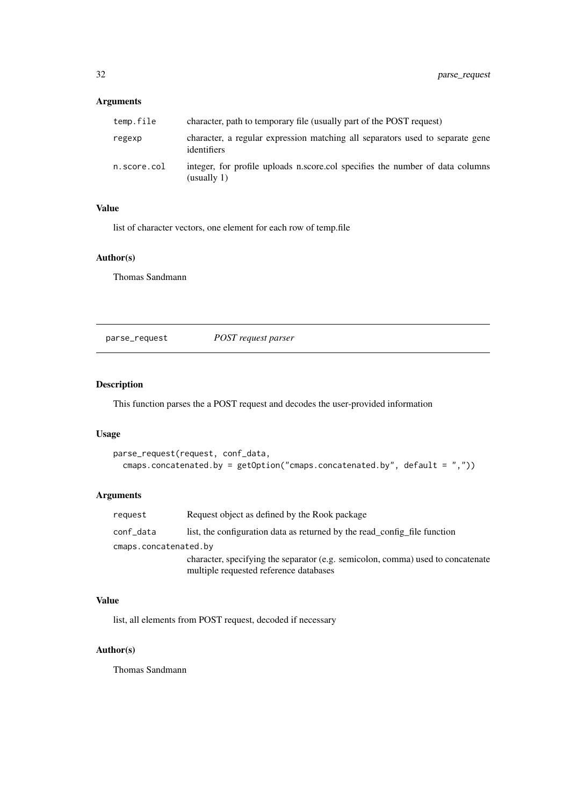# <span id="page-31-0"></span>Arguments

| temp.file   | character, path to temporary file (usually part of the POST request)                         |
|-------------|----------------------------------------------------------------------------------------------|
| regexp      | character, a regular expression matching all separators used to separate gene<br>identifiers |
| n.score.col | integer, for profile uploads n.score.col specifies the number of data columns<br>(usually 1) |

# Value

list of character vectors, one element for each row of temp.file

# Author(s)

Thomas Sandmann

parse\_request *POST request parser*

# Description

This function parses the a POST request and decodes the user-provided information

# Usage

```
parse_request(request, conf_data,
 cmaps.concatenated.by = getOption("cmaps.concatenated.by", default = ","))
```
# Arguments

| request               | Request object as defined by the Rook package                                   |
|-----------------------|---------------------------------------------------------------------------------|
| conf_data             | list, the configuration data as returned by the read config file function       |
| cmaps.concatenated.by |                                                                                 |
|                       | character, specifying the separator (e.g. semicolon, comma) used to concatenate |
|                       | multiple requested reference databases                                          |

# Value

list, all elements from POST request, decoded if necessary

# Author(s)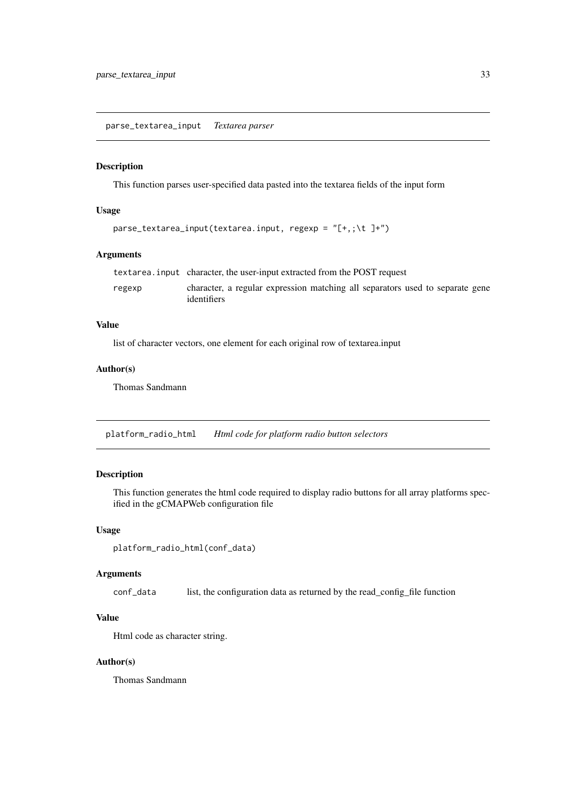<span id="page-32-0"></span>parse\_textarea\_input *Textarea parser*

#### Description

This function parses user-specified data pasted into the textarea fields of the input form

# Usage

```
parse_textarea_input(textarea.input, regexp = "[+,;\t ]+")
```
#### Arguments

|        | textarea.input character, the user-input extracted from the POST request                     |
|--------|----------------------------------------------------------------------------------------------|
| regexp | character, a regular expression matching all separators used to separate gene<br>identifiers |

#### Value

list of character vectors, one element for each original row of textarea.input

# Author(s)

Thomas Sandmann

platform\_radio\_html *Html code for platform radio button selectors*

#### Description

This function generates the html code required to display radio buttons for all array platforms specified in the gCMAPWeb configuration file

# Usage

```
platform_radio_html(conf_data)
```
#### Arguments

conf\_data list, the configuration data as returned by the read\_config\_file function

#### Value

Html code as character string.

# Author(s)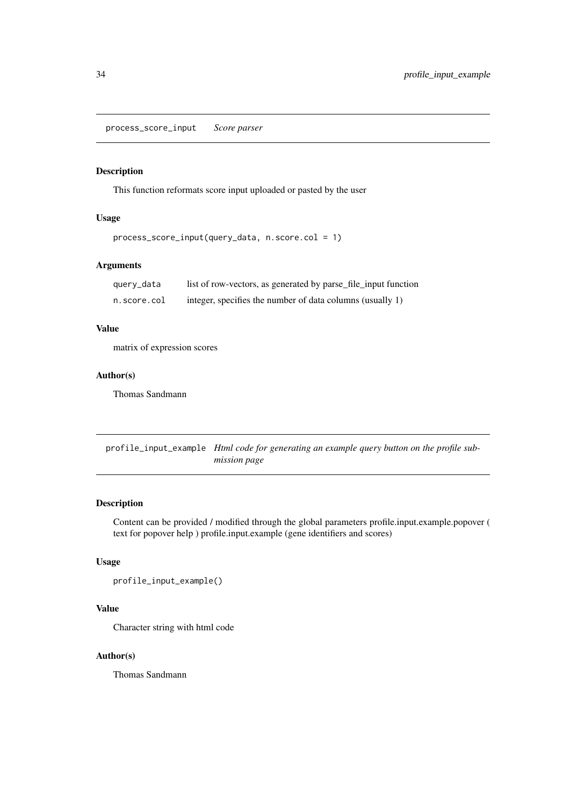<span id="page-33-0"></span>process\_score\_input *Score parser*

#### Description

This function reformats score input uploaded or pasted by the user

# Usage

```
process_score_input(query_data, n.score.col = 1)
```
# Arguments

| query_data  | list of row-vectors, as generated by parse_file_input function |
|-------------|----------------------------------------------------------------|
| n.score.col | integer, specifies the number of data columns (usually 1)      |

# Value

matrix of expression scores

# Author(s)

Thomas Sandmann

profile\_input\_example *Html code for generating an example query button on the profile submission page*

# Description

Content can be provided / modified through the global parameters profile.input.example.popover ( text for popover help ) profile.input.example (gene identifiers and scores)

# Usage

```
profile_input_example()
```
# Value

Character string with html code

# Author(s)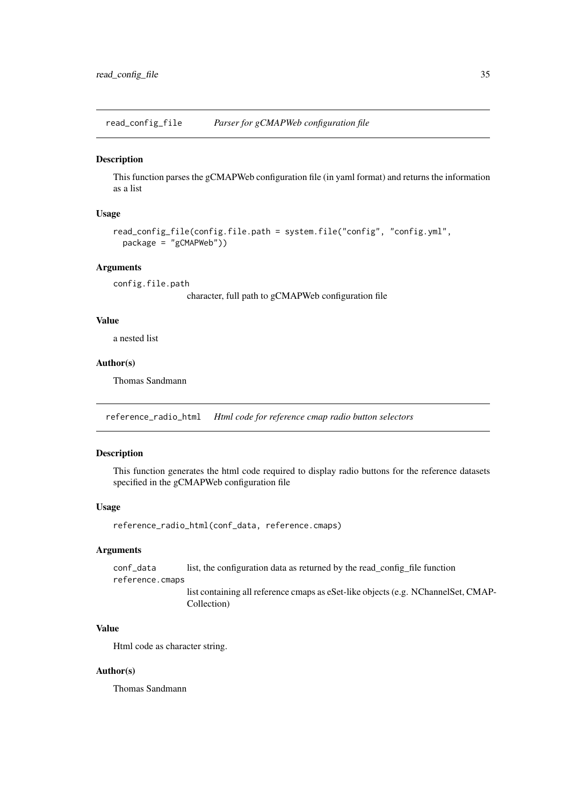<span id="page-34-0"></span>read\_config\_file *Parser for gCMAPWeb configuration file*

#### Description

This function parses the gCMAPWeb configuration file (in yaml format) and returns the information as a list

# Usage

```
read_config_file(config.file.path = system.file("config", "config.yml",
 package = "gCMAPWeb"))
```
# Arguments

config.file.path

character, full path to gCMAPWeb configuration file

# Value

a nested list

# Author(s)

Thomas Sandmann

reference\_radio\_html *Html code for reference cmap radio button selectors*

#### Description

This function generates the html code required to display radio buttons for the reference datasets specified in the gCMAPWeb configuration file

#### Usage

reference\_radio\_html(conf\_data, reference.cmaps)

# Arguments

conf\_data list, the configuration data as returned by the read\_config\_file function reference.cmaps

list containing all reference cmaps as eSet-like objects (e.g. NChannelSet, CMAP-Collection)

#### Value

Html code as character string.

#### Author(s)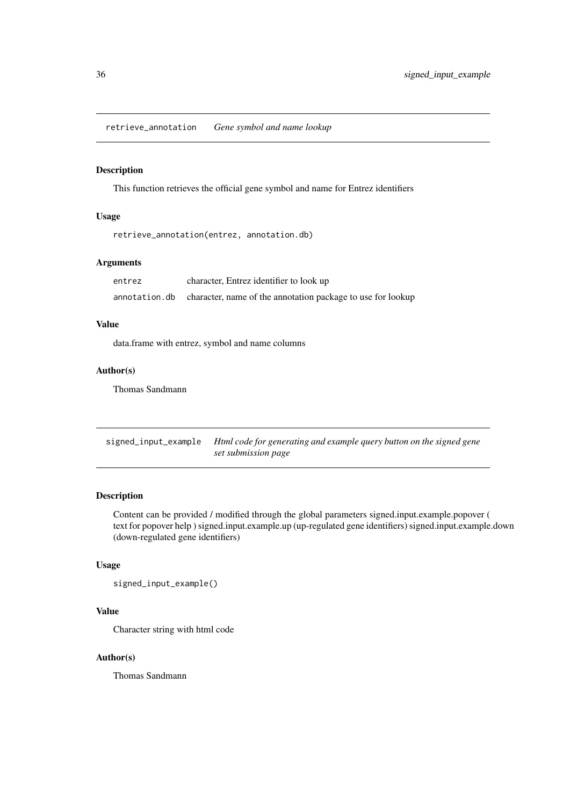<span id="page-35-0"></span>retrieve\_annotation *Gene symbol and name lookup*

# Description

This function retrieves the official gene symbol and name for Entrez identifiers

# Usage

retrieve\_annotation(entrez, annotation.db)

#### Arguments

| entrez | character, Entrez identifier to look up                                    |
|--------|----------------------------------------------------------------------------|
|        | annotation. db character, name of the annotation package to use for lookup |

#### Value

data.frame with entrez, symbol and name columns

#### Author(s)

Thomas Sandmann

signed\_input\_example *Html code for generating and example query button on the signed gene set submission page*

# Description

Content can be provided / modified through the global parameters signed.input.example.popover ( text for popover help ) signed.input.example.up (up-regulated gene identifiers) signed.input.example.down (down-regulated gene identifiers)

# Usage

signed\_input\_example()

# Value

Character string with html code

# Author(s)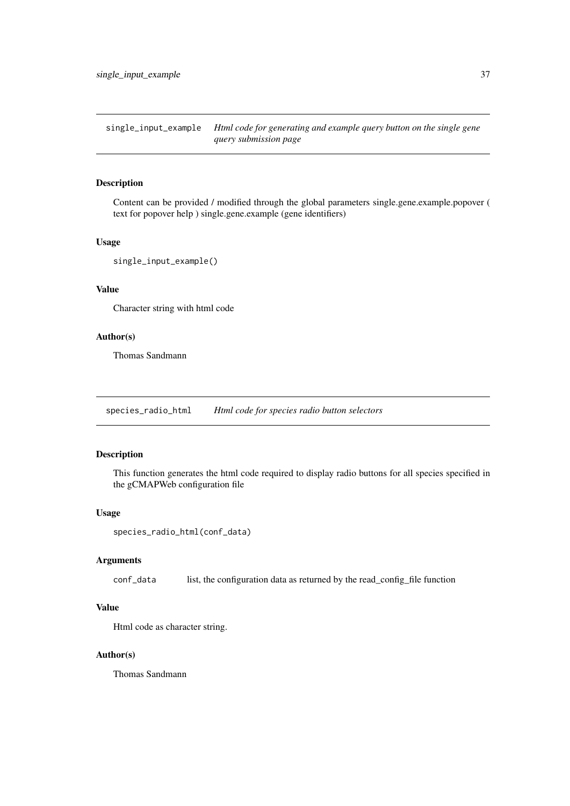<span id="page-36-0"></span>single\_input\_example *Html code for generating and example query button on the single gene query submission page*

# Description

Content can be provided / modified through the global parameters single.gene.example.popover ( text for popover help ) single.gene.example (gene identifiers)

# Usage

```
single_input_example()
```
# Value

Character string with html code

#### Author(s)

Thomas Sandmann

species\_radio\_html *Html code for species radio button selectors*

#### Description

This function generates the html code required to display radio buttons for all species specified in the gCMAPWeb configuration file

#### Usage

```
species_radio_html(conf_data)
```
# Arguments

conf\_data list, the configuration data as returned by the read\_config\_file function

# Value

Html code as character string.

#### Author(s)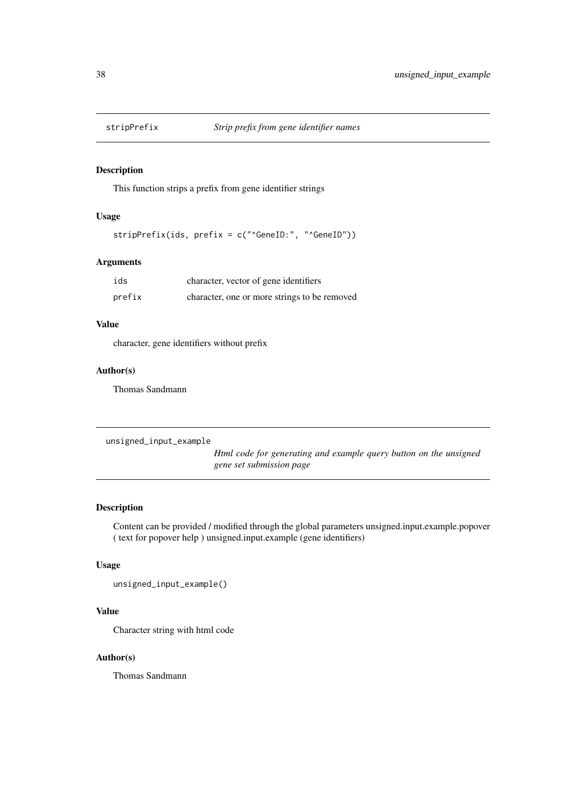<span id="page-37-0"></span>

This function strips a prefix from gene identifier strings

# Usage

stripPrefix(ids, prefix = c("^GeneID:", "^GeneID"))

# Arguments

| ids    | character, vector of gene identifiers        |
|--------|----------------------------------------------|
| prefix | character, one or more strings to be removed |

# Value

character, gene identifiers without prefix

#### Author(s)

Thomas Sandmann

```
unsigned_input_example
```
*Html code for generating and example query button on the unsigned gene set submission page*

# Description

Content can be provided / modified through the global parameters unsigned.input.example.popover ( text for popover help ) unsigned.input.example (gene identifiers)

# Usage

unsigned\_input\_example()

# Value

Character string with html code

#### Author(s)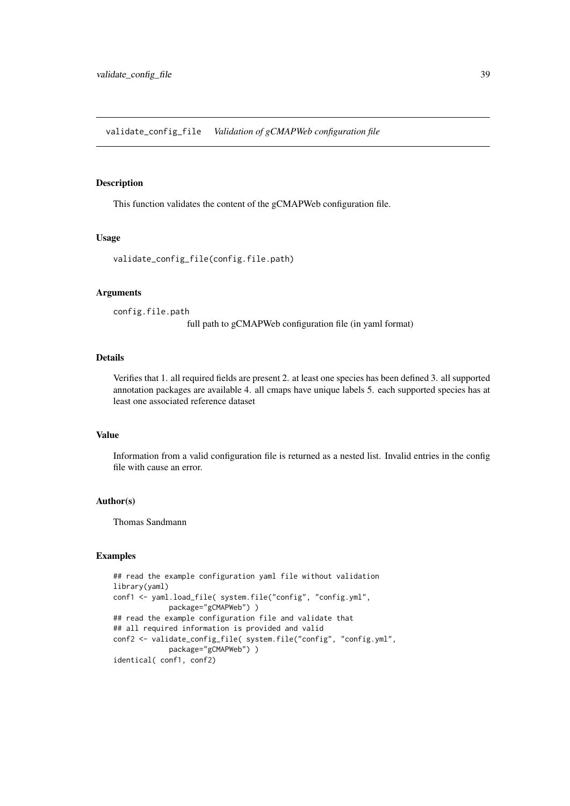<span id="page-38-0"></span>validate\_config\_file *Validation of gCMAPWeb configuration file*

# Description

This function validates the content of the gCMAPWeb configuration file.

#### Usage

```
validate_config_file(config.file.path)
```
#### Arguments

config.file.path

full path to gCMAPWeb configuration file (in yaml format)

#### Details

Verifies that 1. all required fields are present 2. at least one species has been defined 3. all supported annotation packages are available 4. all cmaps have unique labels 5. each supported species has at least one associated reference dataset

# Value

Information from a valid configuration file is returned as a nested list. Invalid entries in the config file with cause an error.

# Author(s)

Thomas Sandmann

#### Examples

```
## read the example configuration yaml file without validation
library(yaml)
conf1 <- yaml.load_file( system.file("config", "config.yml",
             package="gCMAPWeb") )
## read the example configuration file and validate that
## all required information is provided and valid
conf2 <- validate_config_file( system.file("config", "config.yml",
             package="gCMAPWeb") )
identical( conf1, conf2)
```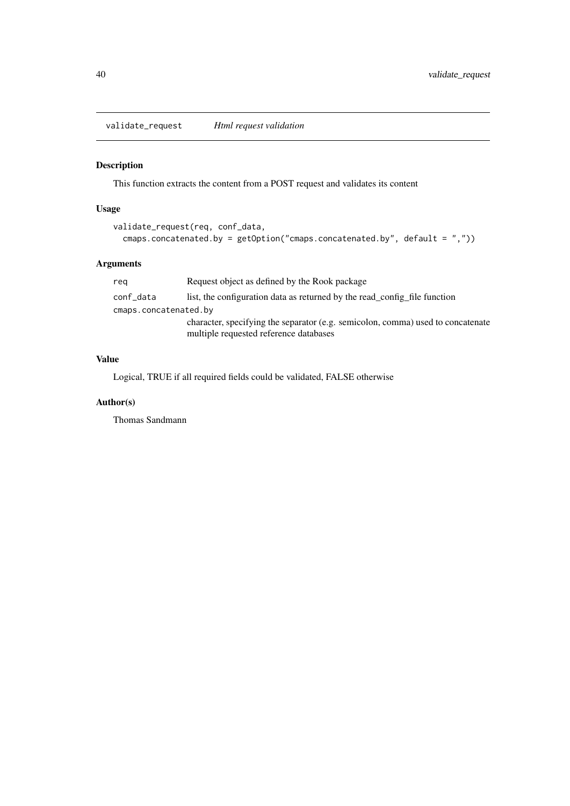<span id="page-39-0"></span>validate\_request *Html request validation*

# Description

This function extracts the content from a POST request and validates its content

# Usage

```
validate_request(req, conf_data,
  cmaps.concatenated.by = getOption("cmaps.concatenated.by", default = ","))
```
# Arguments

| reg                   | Request object as defined by the Rook package                                                                             |
|-----------------------|---------------------------------------------------------------------------------------------------------------------------|
| conf_data             | list, the configuration data as returned by the read_config_file function                                                 |
| cmaps.concatenated.by |                                                                                                                           |
|                       | character, specifying the separator (e.g. semicolon, comma) used to concatenate<br>multiple requested reference databases |

# Value

Logical, TRUE if all required fields could be validated, FALSE otherwise

# Author(s)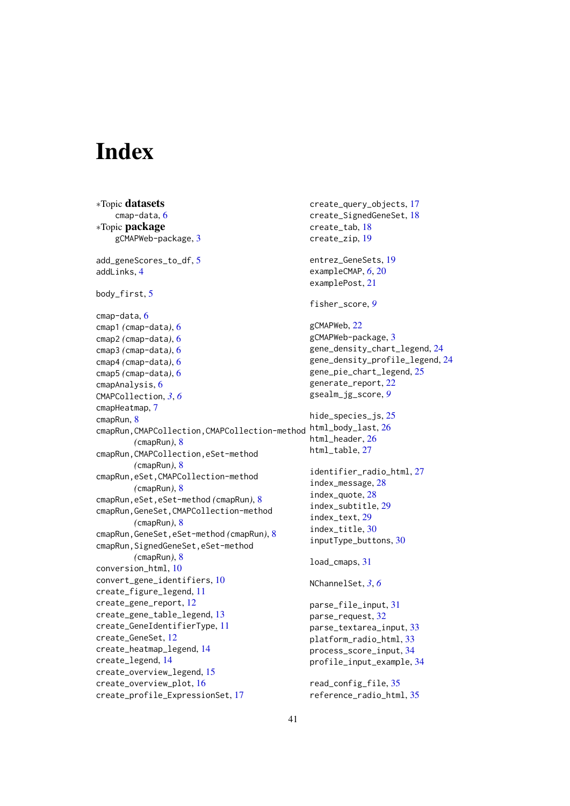# <span id="page-40-0"></span>Index

∗Topic datasets cmap-data, [6](#page-5-0) ∗Topic package gCMAPWeb-package, [3](#page-2-0) add\_geneScores\_to\_df, [5](#page-4-0) addLinks, [4](#page-3-0) body\_first, [5](#page-4-0) cmap-data, [6](#page-5-0) cmap1 *(*cmap-data*)*, [6](#page-5-0) cmap2 *(*cmap-data*)*, [6](#page-5-0) cmap3 *(*cmap-data*)*, [6](#page-5-0) cmap4 *(*cmap-data*)*, [6](#page-5-0) cmap5 *(*cmap-data*)*, [6](#page-5-0) cmapAnalysis, [6](#page-5-0) CMAPCollection, *[3](#page-2-0)*, *[6](#page-5-0)* cmapHeatmap, [7](#page-6-0) cmapRun, [8](#page-7-0) cmapRun,CMAPCollection,CMAPCollection-method html\_body\_last, [26](#page-25-0) *(*cmapRun*)*, [8](#page-7-0) cmapRun,CMAPCollection,eSet-method *(*cmapRun*)*, [8](#page-7-0) cmapRun,eSet,CMAPCollection-method *(*cmapRun*)*, [8](#page-7-0) cmapRun,eSet,eSet-method *(*cmapRun*)*, [8](#page-7-0) cmapRun,GeneSet,CMAPCollection-method *(*cmapRun*)*, [8](#page-7-0) cmapRun,GeneSet,eSet-method *(*cmapRun*)*, [8](#page-7-0) cmapRun,SignedGeneSet,eSet-method *(*cmapRun*)*, [8](#page-7-0) conversion\_html, [10](#page-9-0) convert\_gene\_identifiers, [10](#page-9-0) create\_figure\_legend, [11](#page-10-0) create\_gene\_report, [12](#page-11-0) create\_gene\_table\_legend, [13](#page-12-0) create\_GeneIdentifierType, [11](#page-10-0) create\_GeneSet, [12](#page-11-0) create\_heatmap\_legend, [14](#page-13-0) create\_legend, [14](#page-13-0) create\_overview\_legend, [15](#page-14-0) create\_overview\_plot, [16](#page-15-0) create\_profile\_ExpressionSet, [17](#page-16-0)

create\_query\_objects, [17](#page-16-0) create\_SignedGeneSet, [18](#page-17-0) create\_tab, [18](#page-17-0) create\_zip, [19](#page-18-0) entrez\_GeneSets, [19](#page-18-0) exampleCMAP, *[6](#page-5-0)*, [20](#page-19-0) examplePost, [21](#page-20-0) fisher\_score, *[9](#page-8-0)* gCMAPWeb, [22](#page-21-0) gCMAPWeb-package, [3](#page-2-0) gene\_density\_chart\_legend, [24](#page-23-0) gene\_density\_profile\_legend, [24](#page-23-0) gene\_pie\_chart\_legend, [25](#page-24-0) generate\_report, [22](#page-21-0) gsealm\_jg\_score, *[9](#page-8-0)* hide\_species\_js, [25](#page-24-0) html\_header, [26](#page-25-0) html\_table, [27](#page-26-0) identifier\_radio\_html, [27](#page-26-0) index\_message, [28](#page-27-0) index\_quote, [28](#page-27-0) index\_subtitle, [29](#page-28-0) index\_text, [29](#page-28-0) index\_title, [30](#page-29-0) inputType\_buttons, [30](#page-29-0) load\_cmaps, [31](#page-30-0) NChannelSet, *[3](#page-2-0)*, *[6](#page-5-0)* parse\_file\_input, [31](#page-30-0) parse\_request, [32](#page-31-0) parse\_textarea\_input, [33](#page-32-0) platform\_radio\_html, [33](#page-32-0) process\_score\_input, [34](#page-33-0) profile\_input\_example, [34](#page-33-0) read\_config\_file, [35](#page-34-0) reference\_radio\_html, [35](#page-34-0)